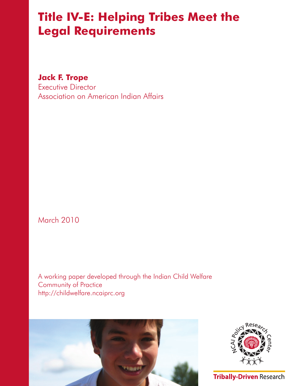# **Title IV-E: Helping Tribes Meet the Legal Requirements**

**Jack F. Trope**

Executive Director Association on American Indian Affairs

March 2010

A working paper developed through the Indian Child Welfare Community of Practice http://childwelfare.ncaiprc.org





**Tribally-Driven Research**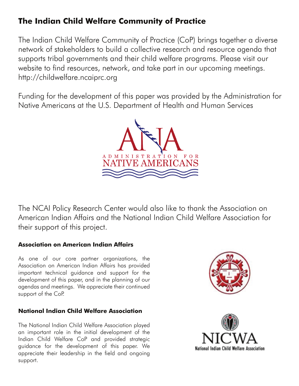# **The Indian Child Welfare Community of Practice**

The Indian Child Welfare Community of Practice (CoP) brings together a diverse network of stakeholders to build a collective research and resource agenda that supports tribal governments and their child welfare programs. Please visit our website to find resources, network, and take part in our upcoming meetings. http://childwelfare.ncaiprc.org

Funding for the development of this paper was provided by the Administration for Native Americans at the U.S. Department of Health and Human Services



The NCAI Policy Research Center would also like to thank the Association on American Indian Affairs and the National Indian Child Welfare Association for their support of this project.

# **Association on American Indian Affairs**

As one of our core partner organizations, the Association on American Indian Affairs has provided important technical guidance and support for the development of this paper, and in the planning of our agendas and meetings. We appreciate their continued support of the CoP.

# **National Indian Child Welfare Association**

The National Indian Child Welfare Association played an important role in the initial development of the Indian Child Welfare CoP and provided strategic guidance for the development of this paper. We appreciate their leadership in the field and ongoing support.



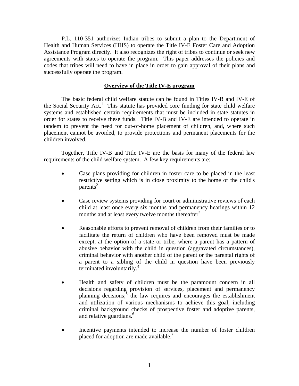P.L. 110-351 authorizes Indian tribes to submit a plan to the Department of Health and Human Services (HHS) to operate the Title IV-E Foster Care and Adoption Assistance Program directly. It also recognizes the right of tribes to continue or seek new agreements with states to operate the program. This paper addresses the policies and codes that tribes will need to have in place in order to gain approval of their plans and successfully operate the program.

## **Overview of the Title IV-E program**

The basic federal child welfare statute can be found in Titles IV-B and IV-E of the Social Security Act.<sup>1</sup> This statute has provided core funding for state child welfare systems and established certain requirements that must be included in state statutes in order for states to receive these funds. Title IV-B and IV-E are intended to operate in tandem to prevent the need for out-of-home placement of children, and, where such placement cannot be avoided, to provide protections and permanent placements for the children involved.

Together, Title IV-B and Title IV-E are the basis for many of the federal law requirements of the child welfare system. A few key requirements are:

- Case plans providing for children in foster care to be placed in the least restrictive setting which is in close proximity to the home of the child's parents<sup>2</sup>
- Case review systems providing for court or administrative reviews of each child at least once every six months and permanency hearings within 12 months and at least every twelve months thereafter<sup>3</sup>
- Reasonable efforts to prevent removal of children from their families or to facilitate the return of children who have been removed must be made except, at the option of a state or tribe, where a parent has a pattern of abusive behavior with the child in question (aggravated circumstances), criminal behavior with another child of the parent or the parental rights of a parent to a sibling of the child in question have been previously terminated involuntarily.<sup>4</sup>
- Health and safety of children must be the paramount concern in all decisions regarding provision of services, placement and permanency planning decisions;<sup>5</sup> the law requires and encourages the establishment and utilization of various mechanisms to achieve this goal, including criminal background checks of prospective foster and adoptive parents, and relative guardians.<sup>6</sup>
- Incentive payments intended to increase the number of foster children placed for adoption are made available.<sup>7</sup>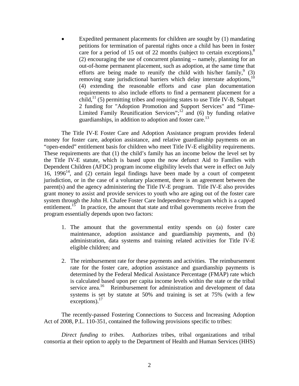Expedited permanent placements for children are sought by (1) mandating petitions for termination of parental rights once a child has been in foster care for a period of 15 out of 22 months (subject to certain exceptions), $8$ (2) encouraging the use of concurrent planning -- namely, planning for an out-of-home permanent placement, such as adoption, at the same time that efforts are being made to reunify the child with his/her family,  $(3)$ removing state jurisdictional barriers which delay interstate adoptions,<sup>10</sup> (4) extending the reasonable efforts and case plan documentation requirements to also include efforts to find a permanent placement for a child,<sup>11</sup> (5) permitting tribes and requiring states to use Title IV-B, Subpart 2 funding for "Adoption Promotion and Support Services" and "Time-Limited Family Reunification Services"; $^{12}$  and (6) by funding relative guardianships, in addition to adoption and foster care.<sup>13</sup>

The Title IV-E Foster Care and Adoption Assistance program provides federal money for foster care, adoption assistance, and relative guardianship payments on an "open-ended" entitlement basis for children who meet Title IV-E eligibility requirements. These requirements are that (1) the child's family has an income below the level set by the Title IV-E statute, which is based upon the now defunct Aid to Families with Dependent Children (AFDC) program income eligibility levels that were in effect on July 16, 1996<sup>14</sup>, and (2) certain legal findings have been made by a court of competent jurisdiction, or in the case of a voluntary placement, there is an agreement between the parent(s) and the agency administering the Title IV-E program. Title IV-E also provides grant money to assist and provide services to youth who are aging out of the foster care system through the John H. Chafee Foster Care Independence Program which is a capped entitlement.<sup>15</sup> In practice, the amount that state and tribal governments receive from the program essentially depends upon two factors:

- 1. The amount that the governmental entity spends on (a) foster care maintenance, adoption assistance and guardianship payments, and (b) administration, data systems and training related activities for Title IV-E eligible children; and
- 2. The reimbursement rate for these payments and activities. The reimbursement rate for the foster care, adoption assistance and guardianship payments is determined by the Federal Medical Assistance Percentage (FMAP) rate which is calculated based upon per capita income levels within the state or the tribal service area.<sup>16</sup> Reimbursement for administration and development of data systems is set by statute at 50% and training is set at 75% (with a few  $excentions)$ <sup>17</sup>

The recently-passed Fostering Connections to Success and Increasing Adoption Act of 2008, P.L. 110-351, contained the following provisions specific to tribes:

*Direct funding to tribes.* Authorizes tribes, tribal organizations and tribal consortia at their option to apply to the Department of Health and Human Services (HHS)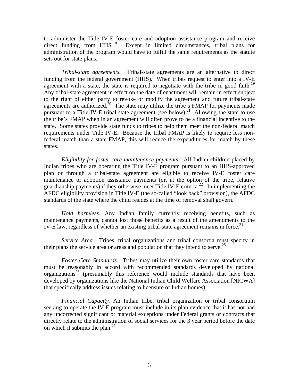to administer the Title IV-E foster care and adoption assistance program and receive direct funding from HHS.<sup>18</sup> Except in limited circumstances, tribal plans for Except in limited circumstances, tribal plans for administration of the program would have to fulfill the same requirements as the statute sets out for state plans.

*Tribal-state agreements.*Tribal-state agreements are an alternative to direct funding from the federal government (HHS). When tribes request to enter into a IV-E agreement with a state, the state is required to negotiate with the tribe in good faith.<sup>19</sup> Any tribal-state agreement in effect on the date of enactment will remain in effect subject to the right of either party to revoke or modify the agreement and future tribal-state agreements are authorized.<sup>20</sup> The state may utilize the tribe's FMAP for payments made pursuant to a Title IV-E tribal-state agreement (see below).<sup>21</sup> Allowing the state to use the tribe's FMAP when in an agreement will often prove to be a financial incentive to the state. Some states provide state funds to tribes to help them meet the non-federal match requirements under Title IV-E. Because the tribal FMAP is likely to require less nonfederal match than a state FMAP, this will reduce the expenditures for match by these states.

*Eligibility for foster care maintenance payments.* All Indian children placed by Indian tribes who are operating the Title IV-E program pursuant to an HHS-approved plan or through a tribal-state agreement are eligible to receive IV-E foster care maintenance or adoption assistance payments (or, at the option of the tribe, relative guardianship payments) if they otherwise meet Title IV-E criteria.<sup>22</sup> In implementing the AFDC eligibility provision in Title IV-E (the so-called "look back" provision), the AFDC standards of the state where the child resides at the time of removal shall govern.<sup>23</sup>

*Hold harmless*. Any Indian family currently receiving benefits, such as maintenance payments, cannot lost those benefits as a result of the amendments to the IV-E law, regardless of whether an existing tribal-state agreement remains in force.<sup>24</sup>

*Service Area.* Tribes, tribal organizations and tribal consortia must specify in their plans the service area or areas and population that they intend to serve.<sup>25</sup>

*Foster Care Standards.* Tribes may utilize their own foster care standards that must be reasonably in accord with recommended standards developed by national organizations<sup>26</sup> (presumably this reference would include standards that have been developed by organizations like the National Indian Child Welfare Association [NICWA] that specifically address issues relating to licensure of Indian homes).

*Financial Capacity.* An Indian tribe, tribal organization or tribal consortium seeking to operate the IV-E program must include in its plan evidence that it has not had any uncorrected significant or material exceptions under Federal grants or contracts that directly relate to the administration of social services for the 3 year period before the date on which it submits the plan.<sup>27</sup>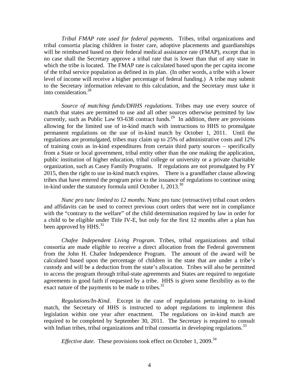*Tribal FMAP rate used for federal payments.* Tribes, tribal organizations and tribal consortia placing children in foster care, adoptive placements and guardianships will be reimbursed based on their federal medical assistance rate (FMAP), except that in no case shall the Secretary approve a tribal rate that is lower than that of any state in which the tribe is located. The FMAP rate is calculated based upon the per capita income of the tribal service population as defined in its plan. (In other words, a tribe with a lower level of income will receive a higher percentage of federal funding.) A tribe may submit to the Secretary information relevant to this calculation, and the Secretary must take it into consideration.28

*Source of matching funds/DHHS regulations.* Tribes may use every source of match that states are permitted to use and all other sources otherwise permitted by law currently, such as Public Law 93-638 contract funds.<sup>29</sup> In addition, there are provisions allowing for the limited use of in-kind match with instructions to HHS to promulgate permanent regulations on the use of in-kind match by October 1, 2011. Until the regulations are promulgated, tribes may claim up to 25% of administrative costs and 12% of training costs as in-kind expenditures from certain third party sources – specifically from a State or local government, tribal entity other than the one making the application, public institution of higher education, tribal college or university or a private charitable organization, such as Casey Family Programs.If regulations are not promulgated by FY 2015, then the right to use in-kind match expires. There is a grandfather clause allowing tribes that have entered the program prior to the issuance of regulations to continue using in-kind under the statutory formula until October 1, 2013. $^{30}$ 

*Nunc pro tunc limited to 12 months*. Nunc pro tunc (retroactive) tribal court orders and affidavits can be used to correct previous court orders that were not in compliance with the "contrary to the welfare" of the child determination required by law in order for a child to be eligible under Title IV-E, but only for the first 12 months after a plan has been approved by  $HHS$ <sup>31</sup>

*Chafee Independent Living Program*. Tribes, tribal organizations and tribal consortia are made eligible to receive a direct allocation from the Federal government from the John H. Chafee Independence Program. The amount of the award will be calculated based upon the percentage of children in the state that are under a tribe's custody and will be a deduction from the state's allocation. Tribes will also be permitted to access the program through tribal-state agreements and States are required to negotiate agreements in good faith if requested by a tribe. HHS is given some flexibility as to the exact nature of the payments to be made to tribes.<sup>32</sup>

*Regulations/In-Kind*. Except in the case of regulations pertaining to in-kind match, the Secretary of HHS is instructed to adopt regulations to implement this legislation within one year after enactment. The regulations on in-kind match are required to be completed by September 30, 2011. The Secretary is required to consult with Indian tribes, tribal organizations and tribal consortia in developing regulations.<sup>33</sup>

*Effective date*. These provisions took effect on October 1, 2009.<sup>34</sup>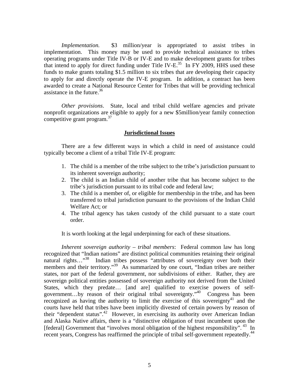*Implementation.* \$3 million/year is appropriated to assist tribes in implementation. This money may be used to provide technical assistance to tribes operating programs under Title IV-B or IV-E and to make development grants for tribes that intend to apply for direct funding under Title IV-E.<sup>35</sup> In FY 2009, HHS used these funds to make grants totaling \$1.5 million to six tribes that are developing their capacity to apply for and directly operate the IV-E program. In addition, a contract has been awarded to create a National Resource Center for Tribes that will be providing technical assistance in the future.  $36$ 

*Other provisions*. State, local and tribal child welfare agencies and private nonprofit organizations are eligible to apply for a new \$5million/year family connection competitive grant program. $37$ 

#### **Jurisdictional Issues**

There are a few different ways in which a child in need of assistance could typically become a client of a tribal Title IV-E program:

- 1. The child is a member of the tribe subject to the tribe's jurisdiction pursuant to its inherent sovereign authority;
- 2. The child is an Indian child of another tribe that has become subject to the tribe's jurisdiction pursuant to its tribal code and federal law;
- 3. The child is a member of, or eligible for membership in the tribe, and has been transferred to tribal jurisdiction pursuant to the provisions of the Indian Child Welfare Act; or
- 4. The tribal agency has taken custody of the child pursuant to a state court order.

It is worth looking at the legal underpinning for each of these situations.

*Inherent sovereign authority – tribal members:* Federal common law has long recognized that "Indian nations" are distinct political communities retaining their original natural rights…"<sup>38</sup> Indian tribes possess "attributes of sovereignty over both their members and their territory."<sup>39</sup> As summarized by one court, "Indian tribes are neither states, nor part of the federal government, nor subdivisions of either. Rather, they are sovereign political entities possessed of sovereign authority not derived from the United States, which they predate… [and are] qualified to exercise powers of selfgovernment…by reason of their original tribal sovereignty."40 Congress has been recognized as having the authority to limit the exercise of this sovereignty<sup>41</sup> and the courts have held that tribes have been implicitly divested of certain powers by reason of their "dependent status".<sup>42</sup> However, in exercising its authority over American Indian and Alaska Native affairs, there is a "distinctive obligation of trust incumbent upon the [federal] Government that "involves moral obligation of the highest responsibility".  $^{43}$  In recent years, Congress has reaffirmed the principle of tribal self-government repeatedly.<sup>44</sup>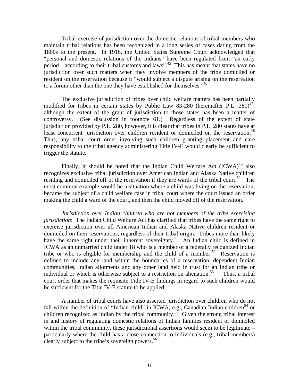Tribal exercise of jurisdiction over the domestic relations of tribal members who maintain tribal relations has been recognized in a long series of cases dating from the 1800s to the present. In 1916, the United States Supreme Court acknowledged that "personal and domestic relations of the Indians" have been regulated from "an early period…according to their tribal customs and laws".45 This has meant that states have no jurisdiction over such matters when they involve members of the tribe domiciled or resident on the reservation because it "would subject a dispute arising on the reservation to a forum other than the one they have established for themselves."<sup>46</sup>

The exclusive jurisdiction of tribes over child welfare matters has been partially modified for tribes in certain states by Public Law 83-280 (hereinafter P.L.  $280)^{47}$ , although the extent of the grant of jurisdiction to those states has been a matter of controversy. (See discussion in footnote 61.) Regardless of the extent of state jurisdiction provided by P.L. 280, however, it is clear that tribes in P.L. 280 states have at least concurrent jurisdiction over children resident or domiciled on the reservation.<sup>48</sup> Thus, any tribal court order involving such children granting placement and care responsibility to the tribal agency administering Title IV-E would clearly be sufficient to trigger the statute.

Finally, it should be noted that the Indian Child Welfare Act  $(ICWA)^{49}$  also recognizes exclusive tribal jurisdiction over American Indian and Alaska Native children residing and domiciled off of the reservation if they are wards of the tribal court.<sup>50</sup> The most common example would be a situation where a child was living on the reservation, became the subject of a child welfare case in tribal court where the court issued an order making the child a ward of the court, and then the child moved off of the reservation.

*Jurisdiction over Indian children who are not members of the tribe exercising jurisdiction*: The Indian Child Welfare Act has clarified that tribes have the same right to exercise jurisdiction over all American Indian and Alaska Native children resident or domiciled on their reservations, regardless of their tribal origin. Tribes more than likely have the same right under their inherent sovereignty.<sup>51</sup> An Indian child is defined in ICWA as an unmarried child under 18 who is a member of a federally recognized Indian tribe or who is eligible for membership and the child of a member.<sup>52</sup> Reservation is defined to include any land within the boundaries of a reservation, dependent Indian communities, Indian allotments and any other land held in trust for an Indian tribe or individual or which is otherwise subject to a restriction on alienation.<sup>53</sup> Thus, a tribal court order that makes the requisite Title IV-E findings in regard to such children would be sufficient for the Title IV-E statute to be applied.

A number of tribal courts have also asserted jurisdiction over children who do not fall within the definition of "Indian child" in ICWA, e.g., Canadian Indian children<sup>54</sup> or children recognized as Indian by the tribal community.<sup>55</sup> Given the strong tribal interest in and history of regulating domestic relations of Indian families resident or domiciled within the tribal community, these jurisdictional assertions would seem to be legitimate – particularly where the child has a close connection to individuals (e.g., tribal members) clearly subject to the tribe's sovereign powers.<sup>56</sup>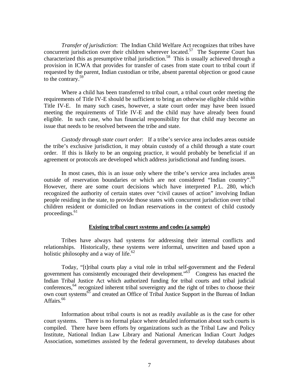*Transfer of jurisdiction*:The Indian Child Welfare Act recognizes that tribes have concurrent jurisdiction over their children wherever located.<sup>57</sup> The Supreme Court has characterized this as presumptive tribal jurisdiction.<sup>58</sup> This is usually achieved through a provision in ICWA that provides for transfer of cases from state court to tribal court if requested by the parent, Indian custodian or tribe, absent parental objection or good cause to the contrary.<sup>59</sup>

Where a child has been transferred to tribal court, a tribal court order meeting the requirements of Title IV-E should be sufficient to bring an otherwise eligible child within Title IV-E. In many such cases, however, a state court order may have been issued meeting the requirements of Title IV-E and the child may have already been found eligible. In such case, who has financial responsibility for that child may become an issue that needs to be resolved between the tribe and state.

*Custody through state court order*: If a tribe's service area includes areas outside the tribe's exclusive jurisdiction, it may obtain custody of a child through a state court order. If this is likely to be an ongoing practice, it would probably be beneficial if an agreement or protocols are developed which address jurisdictional and funding issues.

In most cases, this is an issue only where the tribe's service area includes areas outside of reservation boundaries or which are not considered "Indian country".<sup>60</sup> However, there are some court decisions which have interpreted P.L. 280, which recognized the authority of certain states over "civil causes of action" involving Indian people residing in the state, to provide those states with concurrent jurisdiction over tribal children resident or domiciled on Indian reservations in the context of child custody proceedings. $61$ 

#### **Existing tribal court systems and codes (a sample)**

Tribes have always had systems for addressing their internal conflicts and relationships. Historically, these systems were informal, unwritten and based upon a holistic philosophy and a way of life. $62$ 

Today, "[t]ribal courts play a vital role in tribal self-government and the Federal government has consistently encouraged their development."<sup>63</sup> Congress has enacted the Indian Tribal Justice Act which authorized funding for tribal courts and tribal judicial conferences,  $64$  recognized inherent tribal sovereignty and the right of tribes to choose their own court systems<sup>65</sup> and created an Office of Tribal Justice Support in the Bureau of Indian Affairs.<sup>66</sup>

Information about tribal courts is not as readily available as is the case for other court systems. There is no formal place where detailed information about such courts is compiled. There have been efforts by organizations such as the Tribal Law and Policy Institute, National Indian Law Library and National American Indian Court Judges Association, sometimes assisted by the federal government, to develop databases about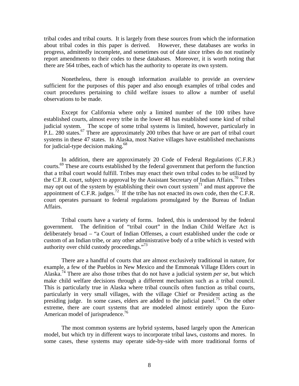tribal codes and tribal courts. It is largely from these sources from which the information about tribal codes in this paper is derived. However, these databases are works in progress, admittedly incomplete, and sometimes out of date since tribes do not routinely report amendments to their codes to these databases. Moreover, it is worth noting that there are 564 tribes, each of which has the authority to operate its own system.

Nonetheless, there is enough information available to provide an overview sufficient for the purposes of this paper and also enough examples of tribal codes and court procedures pertaining to child welfare issues to allow a number of useful observations to be made.

Except for California where only a limited number of the 100 tribes have established courts, almost every tribe in the lower 48 has established some kind of tribal judicial system. The scope of some tribal systems is limited, however, particularly in P.L. 280 states.<sup>67</sup> There are approximately 200 tribes that have or are part of tribal court systems in these 47 states. In Alaska, most Native villages have established mechanisms for judicial-type decision making. $68$ 

In addition, there are approximately 20 Code of Federal Regulations (C.F.R.) courts.69 These are courts established by the federal government that perform the function that a tribal court would fulfill. Tribes may enact their own tribal codes to be utilized by the C.F.R. court, subject to approval by the Assistant Secretary of Indian Affairs.<sup>70</sup> Tribes may opt out of the system by establishing their own court system $^{71}$  and must approve the appointment of C.F.R. judges.<sup>72</sup> If the tribe has not enacted its own code, then the C.F.R. court operates pursuant to federal regulations promulgated by the Bureau of Indian Affairs.

Tribal courts have a variety of forms. Indeed, this is understood by the federal government. The definition of "tribal court" in the Indian Child Welfare Act is deliberately broad – "a Court of Indian Offenses, a court established under the code or custom of an Indian tribe, or any other administrative body of a tribe which is vested with authority over child custody proceedings."73

There are a handful of courts that are almost exclusively traditional in nature, for example, a few of the Pueblos in New Mexico and the Emmonak Village Elders court in Alaska.74 There are also those tribes that do not have a judicial system *per se*, but which make child welfare decisions through a different mechanism such as a tribal council. This is particularly true in Alaska where tribal councils often function as tribal courts, particularly in very small villages, with the village Chief or President acting as the presiding judge. In some cases, elders are added to the judicial panel.<sup>75</sup> On the other extreme, there are court systems that are modeled almost entirely upon the Euro-American model of jurisprudence.<sup>76</sup>

The most common systems are hybrid systems, based largely upon the American model, but which try in different ways to incorporate tribal laws, customs and mores. In some cases, these systems may operate side-by-side with more traditional forms of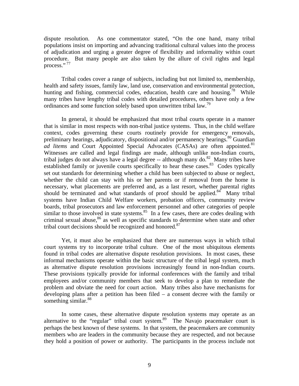dispute resolution. As one commentator stated, "On the one hand, many tribal populations insist on importing and advancing traditional cultural values into the process of adjudication and urging a greater degree of flexibility and informality within court procedure. But many people are also taken by the allure of civil rights and legal process."<sup>77</sup>

Tribal codes cover a range of subjects, including but not limited to, membership, health and safety issues, family law, land use, conservation and environmental protection, hunting and fishing, commercial codes, education, health care and housing.<sup>78</sup> While many tribes have lengthy tribal codes with detailed procedures, others have only a few ordinances and some function solely based upon unwritten tribal law.<sup>79</sup>

In general, it should be emphasized that most tribal courts operate in a manner that is similar in most respects with non-tribal justice systems. Thus, in the child welfare context, codes governing these courts routinely provide for emergency removals, preliminary hearings, adjudicatory, dispositional and/or permanency hearings.<sup>80</sup> Guardian *ad litems* and Court Appointed Special Advocates (CASAs) are often appointed.<sup>81</sup> Witnesses are called and legal findings are made, although unlike non-Indian courts, tribal judges do not always have a legal degree  $-$  although many do.<sup>82</sup> Many tribes have established family or juvenile courts specifically to hear these cases.<sup>83</sup> Codes typically set out standards for determining whether a child has been subjected to abuse or neglect, whether the child can stay with his or her parents or if removal from the home is necessary, what placements are preferred and, as a last resort, whether parental rights should be terminated and what standards of proof should be applied.<sup>84</sup> Many tribal systems have Indian Child Welfare workers, probation officers, community review boards, tribal prosecutors and law enforcement personnel and other categories of people similar to those involved in state systems.<sup>85</sup> In a few cases, there are codes dealing with criminal sexual abuse,  $86$  as well as specific standards to determine when state and other tribal court decisions should be recognized and honored.<sup>87</sup>

Yet, it must also be emphasized that there are numerous ways in which tribal court systems try to incorporate tribal culture. One of the most ubiquitous elements found in tribal codes are alternative dispute resolution provisions. In most cases, these informal mechanisms operate within the basic structure of the tribal legal system, much as alternative dispute resolution provisions increasingly found in non-Indian courts. These provisions typically provide for informal conferences with the family and tribal employees and/or community members that seek to develop a plan to remediate the problem and obviate the need for court action. Many tribes also have mechanisms for developing plans after a petition has been filed – a consent decree with the family or something similar. $88$ 

In some cases, these alternative dispute resolution systems may operate as an alternative to the "regular" tribal court system.<sup>89</sup> The Navajo peacemaker court is perhaps the best known of these systems. In that system, the peacemakers are community members who are leaders in the community because they are respected, and not because they hold a position of power or authority. The participants in the process include not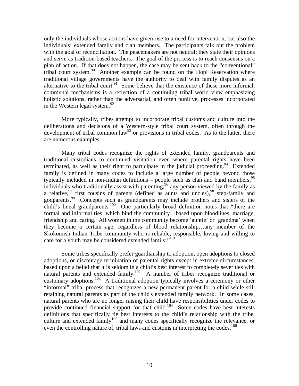only the individuals whose actions have given rise to a need for intervention, but also the individuals' extended family and clan members. The participants talk out the problem with the goal of reconciliation. The peacemakers are not neutral; they state their opinions and serve as tradition-based teachers. The goal of the process is to reach consensus on a plan of action. If that does not happen, the case may be sent back to the "conventional" tribal court system.<sup>90</sup> Another example can be found on the Hopi Reservation where traditional village governments have the authority to deal with family disputes as an alternative to the tribal court.<sup>91</sup> Some believe that the existence of these more informal, communal mechanisms is a reflection of a continuing tribal world view emphasizing holistic solutions, rather than the adversarial, and often punitive, processes incorporated in the Western legal system. $92$ 

More typically, tribes attempt to incorporate tribal customs and culture into the deliberations and decisions of a Western-style tribal court system, often through the development of tribal common law<sup>93</sup> or provisions in tribal codes. As to the latter, there are numerous examples.

Many tribal codes recognize the rights of extended family, grandparents and traditional custodians to continued visitation even where parental rights have been terminated, as well as their right to participate in the judicial proceeding.<sup>94</sup> Extended family is defined in many codes to include a large number of people beyond those typically included in non-Indian definitions – people such as clan and band members,  $95$ individuals who traditionally assist with parenting, $\frac{96}{96}$  any person viewed by the family as a relative,  $97$  first cousins of parents (defined as aunts and uncles),  $98$  step-family and godparents.99 Concepts such as grandparents may include brothers and sisters of the child's lineal grandparents.<sup>100</sup> One particularly broad definition notes that "there are formal and informal ties, which bind the community…based upon bloodlines, marriage, friendship and caring. All women in the community become 'auntie' or 'grandma' when they become a certain age, regardless of blood relationship…any member of the Skokomish Indian Tribe community who is reliable, responsible, loving and willing to care for a youth may be considered extended family."<sup>101</sup>

Some tribes specifically prefer guardianship to adoption, open adoptions to closed adoptions, or discourage termination of parental rights except in extreme circumstances, based upon a belief that it is seldom in a child's best interest to completely sever ties with natural parents and extended family.<sup>102</sup> A number of tribes recognize traditional or customary adoptions.103 A traditional adoption typically involves a ceremony or other "informal" tribal process that recognizes a new permanent parent for a child while still retaining natural parents as part of the child's extended family network. In some cases, natural parents who are no longer raising their child have responsibilities under codes to provide continued financial support for that child.<sup>104</sup> Some codes have best interests definitions that specifically tie best interests to the child's relationship with the tribe, culture and extended family<sup>105</sup> and many codes specifically recognize the relevance, or even the controlling nature of, tribal laws and customs in interpreting the codes.<sup>106</sup>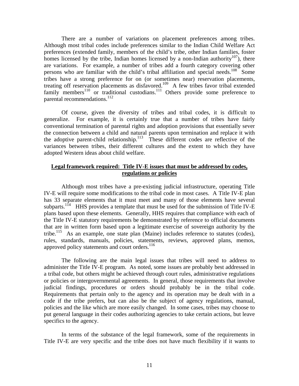There are a number of variations on placement preferences among tribes. Although most tribal codes include preferences similar to the Indian Child Welfare Act preferences (extended family, members of the child's tribe, other Indian families, foster homes licensed by the tribe, Indian homes licensed by a non-Indian authority<sup>107</sup>), there are variations. For example, a number of tribes add a fourth category covering other persons who are familiar with the child's tribal affiliation and special needs.<sup>108</sup> Some tribes have a strong preference for on (or sometimes near) reservation placements, treating off reservation placements as disfavored.<sup>109</sup> A few tribes favor tribal extended family members<sup>110</sup> or traditional custodians.<sup>111</sup> Others provide some preference to parental recommendations.<sup>112</sup>

Of course, given the diversity of tribes and tribal codes, it is difficult to generalize. For example, it is certainly true that a number of tribes have fairly conventional termination of parental rights and adoption provisions that essentially sever the connection between a child and natural parents upon termination and replace it with the adoptive parent-child relationship.<sup>113</sup> These different codes are reflective of the variances between tribes, their different cultures and the extent to which they have adopted Western ideas about child welfare.

# **Legal framework required: Title IV-E issues that must be addressed by codes, regulations or policies**

Although most tribes have a pre-existing judicial infrastructure, operating Title IV-E will require some modifications to the tribal code in most cases. A Title IV-E plan has 33 separate elements that it must meet and many of those elements have several subparts.<sup>114</sup> HHS provides a template that must be used for the submission of Title IV-E plans based upon these elements. Generally, HHS requires that compliance with each of the Title IV-E statutory requirements be demonstrated by reference to official documents that are in written form based upon a legitimate exercise of sovereign authority by the tribe.115 As an example, one state plan (Maine) includes reference to statutes (codes), rules, standards, manuals, policies, statements, reviews, approved plans, memos, approved policy statements and court orders.<sup>116</sup>

The following are the main legal issues that tribes will need to address to administer the Title IV-E program. As noted, some issues are probably best addressed in a tribal code, but others might be achieved through court rules, administrative regulations or policies or intergovernmental agreements. In general, those requirements that involve judicial findings, procedures or orders should probably be in the tribal code. Requirements that pertain only to the agency and its operation may be dealt with in a code if the tribe prefers, but can also be the subject of agency regulations, manual, policies and the like which are more easily changed. In some cases, tribes may choose to put general language in their codes authorizing agencies to take certain actions, but leave specifics to the agency.

In terms of the substance of the legal framework, some of the requirements in Title IV-E are very specific and the tribe does not have much flexibility if it wants to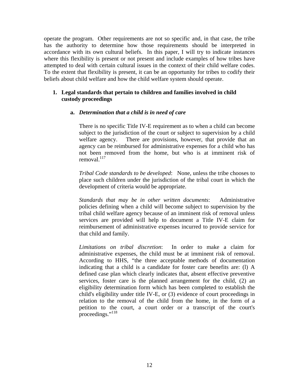operate the program. Other requirements are not so specific and, in that case, the tribe has the authority to determine how those requirements should be interpreted in accordance with its own cultural beliefs. In this paper, I will try to indicate instances where this flexibility is present or not present and include examples of how tribes have attempted to deal with certain cultural issues in the context of their child welfare codes. To the extent that flexibility is present, it can be an opportunity for tribes to codify their beliefs about child welfare and how the child welfare system should operate.

# **1. Legal standards that pertain to children and families involved in child custody proceedings**

# **a.** *Determination that a child is in need of care*

There is no specific Title IV-E requirement as to when a child can become subject to the jurisdiction of the court or subject to supervision by a child welfare agency. There are provisions, however, that provide that an agency can be reimbursed for administrative expenses for a child who has not been removed from the home, but who is at imminent risk of removal. $117$ 

*Tribal Code standards to be developed*: None, unless the tribe chooses to place such children under the jurisdiction of the tribal court in which the development of criteria would be appropriate.

*Standards that may be in other written documents*: Administrative policies defining when a child will become subject to supervision by the tribal child welfare agency because of an imminent risk of removal unless services are provided will help to document a Title IV-E claim for reimbursement of administrative expenses incurred to provide service for that child and family.

*Limitations on tribal discretion*: In order to make a claim for administrative expenses, the child must be at imminent risk of removal. According to HHS, "the three acceptable methods of documentation indicating that a child is a candidate for foster care benefits are: (l) A defined case plan which clearly indicates that, absent effective preventive services, foster care is the planned arrangement for the child, (2) an eligibility determination form which has been completed to establish the child's eligibility under title IV-E, or (3) evidence of court proceedings in relation to the removal of the child from the home, in the form of a petition to the court, a court order or a transcript of the court's proceedings."<sup>118</sup>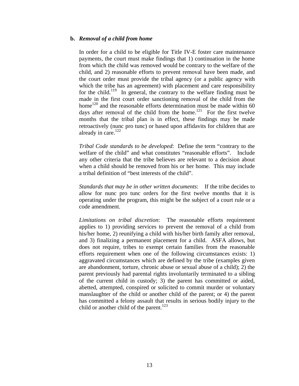#### **b.** *Removal of a child from home*

In order for a child to be eligible for Title IV-E foster care maintenance payments, the court must make findings that 1) continuation in the home from which the child was removed would be contrary to the welfare of the child, and 2) reasonable efforts to prevent removal have been made, and the court order must provide the tribal agency (or a public agency with which the tribe has an agreement) with placement and care responsibility for the child.<sup>119</sup> In general, the contrary to the welfare finding must be made in the first court order sanctioning removal of the child from the home<sup>120</sup> and the reasonable efforts determination must be made within 60 days after removal of the child from the home.<sup>121</sup> For the first twelve months that the tribal plan is in effect, these findings may be made retroactively (nunc pro tunc) or based upon affidavits for children that are already in care. $122$ 

*Tribal Code standards to be developed*: Define the term "contrary to the welfare of the child" and what constitutes "reasonable efforts". Include any other criteria that the tribe believes are relevant to a decision about when a child should be removed from his or her home. This may include a tribal definition of "best interests of the child".

*Standards that may be in other written documents*: If the tribe decides to allow for nunc pro tunc orders for the first twelve months that it is operating under the program, this might be the subject of a court rule or a code amendment.

*Limitations on tribal discretion*: The reasonable efforts requirement applies to 1) providing services to prevent the removal of a child from his/her home, 2) reunifying a child with his/her birth family after removal, and 3) finalizing a permanent placement for a child. ASFA allows, but does not require, tribes to exempt certain families from the reasonable efforts requirement when one of the following circumstances exists: 1) aggravated circumstances which are defined by the tribe (examples given are abandonment, torture, chronic abuse or sexual abuse of a child); 2) the parent previously had parental rights involuntarily terminated to a sibling of the current child in custody; 3) the parent has committed or aided, abetted, attempted, conspired or solicited to commit murder or voluntary manslaughter of the child or another child of the parent; or 4) the parent has committed a felony assault that results in serious bodily injury to the child or another child of the parent. $123$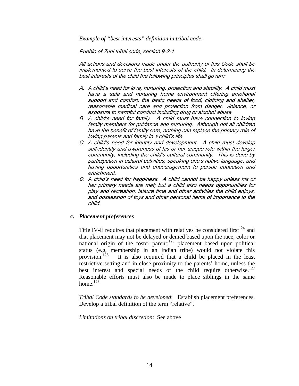*Example of "best interests" definition in tribal code*:

Pueblo of Zuni tribal code, section 9-2-1

All actions and decisions made under the authority of this Code shall be implemented to serve the best interests of the child. In determining the best interests of the child the following principles shall govern:

- A. A child's need for love, nurturing, protection and stability. A child must have a safe and nurturing home environment offering emotional support and comfort, the basic needs of food, clothing and shelter, reasonable medical care and protection from danger, violence, or exposure to harmful conduct including drug or alcohol abuse.
- B. A child's need for family. A child must have connection to loving family members for guidance and nurturing. Although not all children have the benefit of family care, nothing can replace the primary role of loving parents and family in a child's life.
- C. A child's need for identity and development. A child must develop self-identity and awareness of his or her unique role within the larger community, including the child's cultural community. This is done by participation in cultural activities, speaking one's native language, and having opportunities and encouragement to pursue education and enrichment.
- D. A child's need for happiness. A child cannot be happy unless his or her primary needs are met; but a child also needs opportunities for play and recreation, leisure time and other activities the child enjoys, and possession of toys and other personal items of importance to the child.

#### **c.** *Placement preferences*

Title IV-E requires that placement with relatives be considered first $124$  and that placement may not be delayed or denied based upon the race, color or national origin of the foster parent;125 placement based upon political status (e.g, membership in an Indian tribe) would not violate this provision.<sup>126</sup> It is also required that a child be placed in the least restrictive setting and in close proximity to the parents' home, unless the best interest and special needs of the child require otherwise.<sup>127</sup> Reasonable efforts must also be made to place siblings in the same home. $128$ 

*Tribal Code standards to be developed*:Establish placement preferences. Develop a tribal definition of the term "relative".

*Limitations on tribal discretion*: See above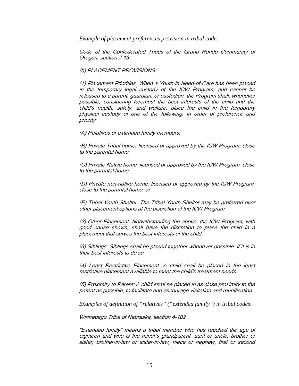*Example of placement preferences provision in tribal code:* 

Code of the Confederated Tribes of the Grand Ronde Community of Oregon, section 7.13

#### (b) PLACEMENT PROVISIONS:

(1) Placement Priorities: When a Youth-in-Need-of-Care has been placed in the temporary legal custody of the ICW Program, and cannot be released to a parent, guardian, or custodian, the Program shall, whenever possible, considering foremost the best interests of the child and the child's health, safety, and welfare, place the child in the temporary physical custody of one of the following, in order of preference and priority:

(A) Relatives or extended family members;

(B) Private Tribal home, licensed or approved by the ICW Program, close to the parental home;

(C) Private Native home, licensed or approved by the ICW Program, close to the parental home;

(D) Private non-native home, licensed or approved by the ICW Program, close to the parental home; or

(E) Tribal Youth Shelter. The Tribal Youth Shelter may be preferred over other placement options at the discretion of the ICW Program.

(2) Other Placement: Notwithstanding the above, the ICW Program, with good cause shown, shall have the discretion to place the child in a placement that serves the best interests of the child.

(3) Siblings: Siblings shall be placed together whenever possible, if it is in their best interests to do so.

(4) Least Restrictive Placement: A child shall be placed in the least restrictive placement available to meet the child's treatment needs.

(5) Proximity to Parent: A child shall be placed in as close proximity to the parent as possible, to facilitate and encourage visitation and reunification.

*Examples of definition of "relatives" ("extended family") in tribal codes*:

Winnebago Tribe of Nebraska, section 4-102

"Extended family" means a tribal member who has reached the age of eighteen and who is the minor's grandparent, aunt or uncle, brother or sister, brother-in-law or sister-in-law, niece or nephew, first or second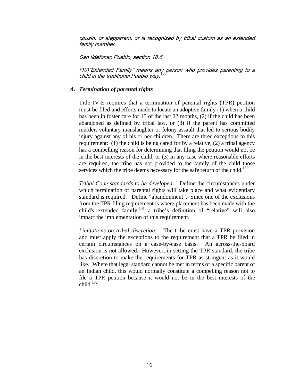cousin, or stepparent, or is recognized by tribal custom as an extended family member.

San Ildefonso Pueblo, section 18.6

(10)"Extended Family" means any person who provides parenting to a child in the traditional Pueblo way.<sup>129</sup>

#### **d.** *Termination of parental rights*

Title IV-E requires that a termination of parental rights (TPR) petition must be filed and efforts made to locate an adoptive family (1) when a child has been in foster care for 15 of the last 22 months, (2) if the child has been abandoned as defined by tribal law, or (3) if the parent has committed murder, voluntary manslaughter or felony assault that led to serious bodily injury against any of his or her children. There are three exceptions to this requirement: (1) the child is being cared for by a relative, (2) a tribal agency has a compelling reason for determining that filing the petition would not be in the best interests of the child, or (3) in any case where reasonable efforts are required, the tribe has not provided to the family of the child those services which the tribe deems necessary for the safe return of the child.<sup>130</sup>

*Tribal Code standards to be developed*: Define the circumstances under which termination of parental rights will take place and what evidentiary standard is required. Define "abandonment". Since one of the exclusions from the TPR filing requirement is where placement has been made with the child's extended family, $^{131}$  a tribe's definition of "relative" will also impact the implementation of this requirement.

*Limitations on tribal discretion*: The tribe must have a TPR provision and must apply the exceptions to the requirement that a TPR be filed in certain circumstances on a case-by-case basis. An across-the-board exclusion is not allowed. However, in setting the TPR standard, the tribe has discretion to make the requirements for TPR as stringent as it would like. Where that legal standard cannot be met in terms of a specific parent of an Indian child, this would normally constitute a compelling reason not to file a TPR petition because it would not be in the best interests of the child. $132$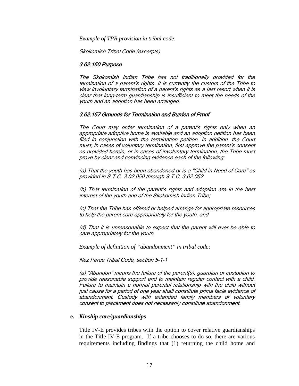*Example of TPR provision in tribal code*:

Skokomish Tribal Code (excerpts)

#### 3.02.150 Purpose

The Skokomish Indian Tribe has not traditionally provided for the termination of a parent's rights. It is currently the custom of the Tribe to view involuntary termination of a parent's rights as a last resort when it is clear that long-term guardianship is insufficient to meet the needs of the youth and an adoption has been arranged.

#### 3.02.157 Grounds for Termination and Burden of Proof

The Court may order termination of a parent's rights only when an appropriate adoptive home is available and an adoption petition has been filed in conjunction with the termination petition. In addition, the Court must, in cases of voluntary termination, first approve the parent's consent as provided herein, or in cases of involuntary termination, the Tribe must prove by clear and convincing evidence each of the following:

(a) That the youth has been abandoned or is a "Child in Need of Care" as provided in S.T.C. 3.02.050 through S.T.C. 3.02.052.

(b) That termination of the parent's rights and adoption are in the best interest of the youth and of the Skokomish Indian Tribe;

(c) That the Tribe has offered or helped arrange for appropriate resources to help the parent care appropriately for the youth; and

(d) That it is unreasonable to expect that the parent will ever be able to care appropriately for the youth.

*Example of definition of "abandonment" in tribal code*:

Nez Perce Tribal Code, section 5-1-1

(a) "Abandon" means the failure of the parent(s), guardian or custodian to provide reasonable support and to maintain regular contact with a child. Failure to maintain a normal parental relationship with the child without just cause for a period of one year shall constitute prima facie evidence of abandonment. Custody with extended family members or voluntary consent to placement does not necessarily constitute abandonment.

#### **e.** *Kinship care/guardianships*

Title IV-E provides tribes with the option to cover relative guardianships in the Title IV-E program. If a tribe chooses to do so, there are various requirements including findings that (1) returning the child home and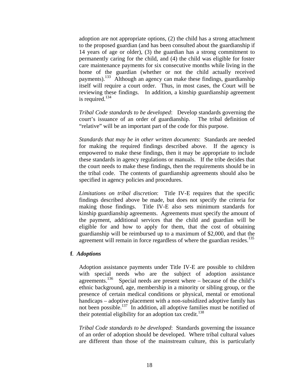adoption are not appropriate options, (2) the child has a strong attachment to the proposed guardian (and has been consulted about the guardianship if 14 years of age or older), (3) the guardian has a strong commitment to permanently caring for the child, and (4) the child was eligible for foster care maintenance payments for six consecutive months while living in the home of the guardian (whether or not the child actually received payments).<sup>133</sup> Although an agency can make these findings, guardianship itself will require a court order. Thus, in most cases, the Court will be reviewing these findings. In addition, a kinship guardianship agreement is required. $134$ 

*Tribal Code standards to be developed*: Develop standards governing the court's issuance of an order of guardianship. The tribal definition of "relative" will be an important part of the code for this purpose.

*Standards that may be in other written documents*: Standards are needed for making the required findings described above. If the agency is empowered to make these findings, then it may be appropriate to include these standards in agency regulations or manuals. If the tribe decides that the court needs to make these findings, then the requirements should be in the tribal code. The contents of guardianship agreements should also be specified in agency policies and procedures.

*Limitations on tribal discretion*: Title IV-E requires that the specific findings described above be made, but does not specify the criteria for making those findings. Title IV-E also sets minimum standards for kinship guardianship agreements. Agreements must specify the amount of the payment, additional services that the child and guardian will be eligible for and how to apply for them, that the cost of obtaining guardianship will be reimbursed up to a maximum of \$2,000, and that the agreement will remain in force regardless of where the guardian resides.<sup>135</sup>

#### **f***. Adoptions*

Adoption assistance payments under Title IV-E are possible to children with special needs who are the subject of adoption assistance agreements.<sup>136</sup> Special needs are present where – because of the child's ethnic background, age, membership in a minority or sibling group, or the presence of certain medical conditions or physical, mental or emotional handicaps – adoptive placement with a non-subsidized adoptive family has not been possible.137 In addition, all adoptive families must be notified of their potential eligibility for an adoption tax credit.<sup>138</sup>

*Tribal Code standards to be developed*: Standards governing the issuance of an order of adoption should be developed. Where tribal cultural values are different than those of the mainstream culture, this is particularly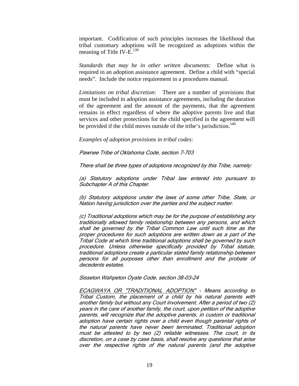important. Codification of such principles increases the likelihood that tribal customary adoptions will be recognized as adoptions within the meaning of Title IV-E.<sup>139</sup>

*Standards that may be in other written documents*: Define what is required in an adoption assistance agreement. Define a child with "special needs". Include the notice requirement in a procedures manual.

*Limitations on tribal discretion*: There are a number of provisions that must be included in adoption assistance agreements, including the duration of the agreement and the amount of the payments, that the agreement remains in effect regardless of where the adoptive parents live and that services and other protections for the child specified in the agreement will be provided if the child moves outside of the tribe's jurisdiction.<sup>140</sup>

*Examples of adoption provisions in tribal codes*:

Pawnee Tribe of Oklahoma Code, section 7-703

There shall be three types of adoptions recognized by this Tribe, namely:

(a) Statutory adoptions under Tribal law entered into pursuant to Subchapter A of this Chapter.

(b) Statutory adoptions under the laws of some other Tribe, State, or Nation having jurisdiction over the parties and the subject matter.

(c) Traditional adoptions which may be for the purpose of establishing any traditionally allowed family relationship between any persons, and which shall be governed by the Tribal Common Law until such time as the proper procedures for such adoptions are written down as a part of the Tribal Code at which time traditional adoptions shall be governed by such procedure. Unless otherwise specifically provided by Tribal statute, traditional adoptions create a particular stated family relationship between persons for all purposes other than enrollment and the probate of decedents estates.

Sisseton Wahpeton Oyate Code, section 38-03-24

ECAGWAYA OR "TRADITIONAL ADOPTION" - Means according to Tribal Custom, the placement of a child by his natural parents with another family but without any Court involvement. After a period of two (2) years in the care of another family, the court, upon petition of the adoptive parents, will recognize that the adoptive parents, in custom or traditional adoption have certain rights over a child even though parental rights of the natural parents have never been terminated. Traditional adoption must be attested to by two (2) reliable witnesses. The court, in its discretion, on a case by case basis, shall resolve any questions that arise over the respective rights of the natural parents (and the adoptive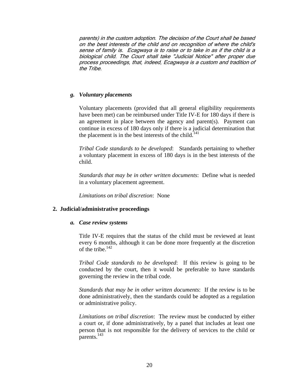parents) in the custom adoption. The decision of the Court shall be based on the best interests of the child and on recognition of where the child's sense of family is. Ecagwaya is to raise or to take in as if the child is a biological child. The Court shall take "Judicial Notice" after proper due process proceedings, that, indeed, Ecagwaya is a custom and tradition of the Tribe.

# *g. Voluntary placements*

Voluntary placements (provided that all general eligibility requirements have been met) can be reimbursed under Title IV-E for 180 days if there is an agreement in place between the agency and parent(s). Payment can continue in excess of 180 days only if there is a judicial determination that the placement is in the best interests of the child.<sup>141</sup>

*Tribal Code standards to be developed*: Standards pertaining to whether a voluntary placement in excess of 180 days is in the best interests of the child.

*Standards that may be in other written documents*: Define what is needed in a voluntary placement agreement.

*Limitations on tribal discretion*: None

# **2. Judicial/administrative proceedings**

#### *a. Case review systems*

Title IV-E requires that the status of the child must be reviewed at least every 6 months, although it can be done more frequently at the discretion of the tribe. $142$ 

*Tribal Code standards to be developed*: If this review is going to be conducted by the court, then it would be preferable to have standards governing the review in the tribal code.

*Standards that may be in other written documents*: If the review is to be done administratively, then the standards could be adopted as a regulation or administrative policy.

*Limitations on tribal discretion*: The review must be conducted by either a court or, if done administratively, by a panel that includes at least one person that is not responsible for the delivery of services to the child or parents.<sup>143</sup>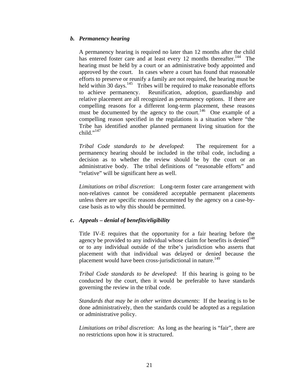# *b. Permanency hearing*

A permanency hearing is required no later than 12 months after the child has entered foster care and at least every 12 months thereafter.<sup>144</sup> The hearing must be held by a court or an administrative body appointed and approved by the court. In cases where a court has found that reasonable efforts to preserve or reunify a family are not required, the hearing must be held within 30 days.<sup>145</sup> Tribes will be required to make reasonable efforts to achieve permanency. Reunification, adoption, guardianship and relative placement are all recognized as permanency options. If there are compelling reasons for a different long-term placement, these reasons must be documented by the agency to the court.<sup>146</sup> One example of a compelling reason specified in the regulations is a situation where "the Tribe has identified another planned permanent living situation for the child." $147$ 

*Tribal Code standards to be developed*: The requirement for a permanency hearing should be included in the tribal code, including a decision as to whether the review should be by the court or an administrative body. The tribal definitions of "reasonable efforts" and "relative" will be significant here as well.

*Limitations on tribal discretion*: Long-term foster care arrangement with non-relatives cannot be considered acceptable permanent placements unless there are specific reasons documented by the agency on a case-bycase basis as to why this should be permitted.

# *c. Appeals – denial of benefits/eligibility*

 Title IV-E requires that the opportunity for a fair hearing before the agency be provided to any individual whose claim for benefits is denied<sup>148</sup> or to any individual outside of the tribe's jurisdiction who asserts that placement with that individual was delayed or denied because the placement would have been cross-jurisdictional in nature.<sup>149</sup>

*Tribal Code standards to be developed*: If this hearing is going to be conducted by the court, then it would be preferable to have standards governing the review in the tribal code.

*Standards that may be in other written documents*: If the hearing is to be done administratively, then the standards could be adopted as a regulation or administrative policy.

*Limitations on tribal discretion*: As long as the hearing is "fair", there are no restrictions upon how it is structured.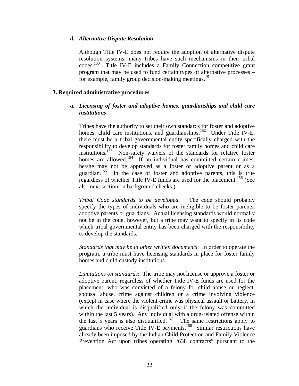#### *d. Alternative Dispute Resolution*

Although Title IV-E does not require the adoption of alternative dispute resolution systems, many tribes have such mechanisms in their tribal codes.150 Title IV-E includes a Family Connection competitive grant program that may be used to fund certain types of alternative processes – for example, family group decision-making meetings.<sup>151</sup>

#### **3. Required administrative procedures**

# *a. Licensing of foster and adoptive homes, guardianships and child care institutions*

Tribes have the authority to set their own standards for foster and adoptive homes, child care institutions, and guardianships.<sup>152</sup> Under Title IV-E, there must be a tribal governmental entity specifically charged with the responsibility to develop standards for foster family homes and child care institutions.153 Non-safety waivers of the standards for relative foster homes are allowed.<sup>154</sup> If an individual has committed certain crimes, he/she may not be approved as a foster or adoptive parent or as a guardian.155 In the case of foster and adoptive parents, this is true regardless of whether Title IV-E funds are used for the placement.<sup>156</sup> (See also next section on background checks.)

*Tribal Code standards to be developed*: The code should probably specify the types of individuals who are ineligible to be foster parents, adoptive parents or guardians. Actual licensing standards would normally not be in the code, however, but a tribe may want to specify in its code which tribal governmental entity has been charged with the responsibility to develop the standards.

*Standards that may be in other written documents*: In order to operate the program, a tribe must have licensing standards in place for foster family homes and child custody institutions.

*Limitations on standards*: The tribe may not license or approve a foster or adoptive parent, regardless of whether Title IV-E funds are used for the placement, who was convicted of a felony for child abuse or neglect, spousal abuse, crime against children or a crime involving violence (except in case where the violent crime was physical assault or battery, in which the individual is disqualified only if the felony was committed within the last 5 years). Any individual with a drug-related offense within the last 5 years is also disqualified.<sup>157</sup> The same restrictions apply to guardians who receive Title IV-E payments.158 Similar restrictions have already been imposed by the Indian Child Protection and Family Violence Prevention Act upon tribes operating "638 contracts" pursuant to the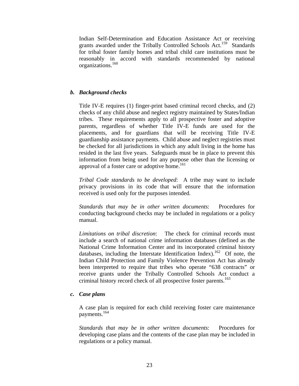Indian Self-Determination and Education Assistance Act or receiving grants awarded under the Tribally Controlled Schools Act.<sup>159</sup> Standards for tribal foster family homes and tribal child care institutions must be reasonably in accord with standards recommended by national organizations.160

# *b. Background checks*

Title IV-E requires (1) finger-print based criminal record checks, and (2) checks of any child abuse and neglect registry maintained by States/Indian tribes. These requirements apply to all prospective foster and adoptive parents, regardless of whether Title IV-E funds are used for the placements, and for guardians that will be receiving Title IV-E guardianship assistance payments. Child abuse and neglect registries must be checked for all jurisdictions in which any adult living in the home has resided in the last five years. Safeguards must be in place to prevent this information from being used for any purpose other than the licensing or approval of a foster care or adoptive home.<sup>161</sup>

*Tribal Code standards to be developed*: A tribe may want to include privacy provisions in its code that will ensure that the information received is used only for the purposes intended.

*Standards that may be in other written documents*: Procedures for conducting background checks may be included in regulations or a policy manual.

*Limitations on tribal discretion*: The check for criminal records must include a search of national crime information databases (defined as the National Crime Information Center and its incorporated criminal history databases, including the Interstate Identification Index).162Of note, the Indian Child Protection and Family Violence Prevention Act has already been interpreted to require that tribes who operate "638 contracts" or receive grants under the Tribally Controlled Schools Act conduct a criminal history record check of all prospective foster parents.<sup>163</sup>

# *c. Case plans*

A case plan is required for each child receiving foster care maintenance payments.164

*Standards that may be in other written documents*: Procedures for developing case plans and the contents of the case plan may be included in regulations or a policy manual.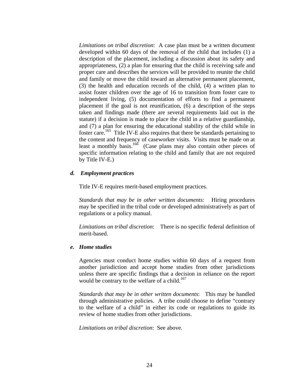*Limitations on tribal discretion*: A case plan must be a written document developed within 60 days of the removal of the child that includes (1) a description of the placement, including a discussion about its safety and appropriateness, (2) a plan for ensuring that the child is receiving safe and proper care and describes the services will be provided to reunite the child and family or move the child toward an alternative permanent placement, (3) the health and education records of the child, (4) a written plan to assist foster children over the age of 16 to transition from foster care to independent living, (5) documentation of efforts to find a permanent placement if the goal is not reunification, (6) a description of the steps taken and findings made (there are several requirements laid out in the statute) if a decision is made to place the child in a relative guardianship, and (7) a plan for ensuring the educational stability of the child while in foster care.165 Title IV-E also requires that there be standards pertaining to the content and frequency of caseworker visits. Visits must be made on at least a monthly basis.<sup>166</sup> (Case plans may also contain other pieces of specific information relating to the child and family that are not required by Title IV-E.)

## *d. Employment practices*

Title IV-E requires merit-based employment practices.

*Standards that may be in other written documents*: Hiring procedures may be specified in the tribal code or developed administratively as part of regulations or a policy manual.

*Limitations on tribal discretion*: There is no specific federal definition of merit-based.

#### *e. Home studies*

Agencies must conduct home studies within 60 days of a request from another jurisdiction and accept home studies from other jurisdictions unless there are specific findings that a decision in reliance on the report would be contrary to the welfare of a child.<sup>167</sup>

*Standards that may be in other written documents*: This may be handled through administrative policies. A tribe could choose to define "contrary to the welfare of a child" in either its code or regulations to guide its review of home studies from other jurisdictions.

*Limitations on tribal discretion*: See above.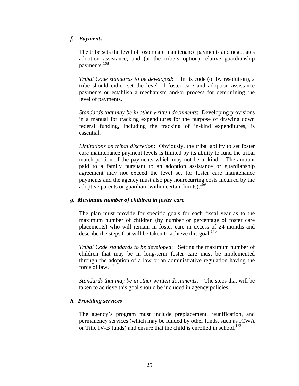# *f. Payments*

The tribe sets the level of foster care maintenance payments and negotiates adoption assistance, and (at the tribe's option) relative guardianship payments.168

*Tribal Code standards to be developed*: In its code (or by resolution), a tribe should either set the level of foster care and adoption assistance payments or establish a mechanism and/or process for determining the level of payments.

*Standards that may be in other written documents*: Developing provisions in a manual for tracking expenditures for the purpose of drawing down federal funding, including the tracking of in-kind expenditures, is essential.

*Limitations on tribal discretion*: Obviously, the tribal ability to set foster care maintenance payment levels is limited by its ability to fund the tribal match portion of the payments which may not be in-kind. The amount paid to a family pursuant to an adoption assistance or guardianship agreement may not exceed the level set for foster care maintenance payments and the agency must also pay nonrecurring costs incurred by the adoptive parents or guardian (within certain limits).<sup>169</sup>

# *g. Maximum number of children in foster care*

 The plan must provide for specific goals for each fiscal year as to the maximum number of children (by number or percentage of foster care placements) who will remain in foster care in excess of 24 months and describe the steps that will be taken to achieve this goal.<sup>170</sup>

*Tribal Code standards to be developed*: Setting the maximum number of children that may be in long-term foster care must be implemented through the adoption of a law or an administrative regulation having the force of law.171

*Standards that may be in other written documents*: The steps that will be taken to achieve this goal should be included in agency policies.

# *h. Providing services*

The agency's program must include preplacement, reunification, and permanency services (which may be funded by other funds, such as ICWA or Title IV-B funds) and ensure that the child is enrolled in school.<sup>172</sup>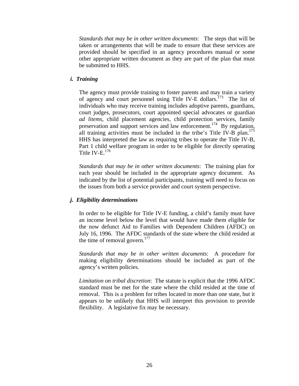*Standards that may be in other written documents*: The steps that will be taken or arrangements that will be made to ensure that these services are provided should be specified in an agency procedures manual or some other appropriate written document as they are part of the plan that must be submitted to HHS.

## *i. Training*

The agency must provide training to foster parents and may train a variety of agency and court personnel using Title IV-E dollars.173 The list of individuals who may receive training includes adoptive parents, guardians, court judges, prosecutors, court appointed special advocates or guardian *ad litems*, child placement agencies, child protection services, family preservation and support services and law enforcement.<sup>174</sup> By regulation, all training activities must be included in the tribe's Title IV-B plan.<sup>175</sup> HHS has interpreted the law as requiring tribes to operate the Title IV-B, Part 1 child welfare program in order to be eligible for directly operating Title IV-E. $^{176}$ 

*Standards that may be in other written documents*: The training plan for each year should be included in the appropriate agency document. As indicated by the list of potential participants, training will need to focus on the issues from both a service provider and court system perspective.

#### *j. Eligibility determinations*

 In order to be eligible for Title IV-E funding, a child's family must have an income level below the level that would have made them eligible for the now defunct Aid to Families with Dependent Children (AFDC) on July 16, 1996. The AFDC standards of the state where the child resided at the time of removal govern. $177$ 

*Standards that may be in other written documents*: A procedure for making eligibility determinations should be included as part of the agency's written policies.

*Limitation on tribal discretion*: The statute is explicit that the 1996 AFDC standard must be met for the state where the child resided at the time of removal. This is a problem for tribes located in more than one state, but it appears to be unlikely that HHS will interpret this provision to provide flexibility. A legislative fix may be necessary.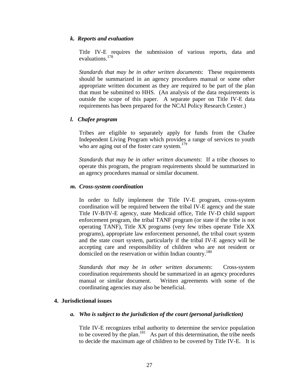#### *k. Reports and evaluation*

 Title IV-E requires the submission of various reports, data and evaluations.178

*Standards that may be in other written documents*: These requirements should be summarized in an agency procedures manual or some other appropriate written document as they are required to be part of the plan that must be submitted to HHS. (An analysis of the data requirements is outside the scope of this paper. A separate paper on Title IV-E data requirements has been prepared for the NCAI Policy Research Center.)

# *l. Chafee program*

Tribes are eligible to separately apply for funds from the Chafee Independent Living Program which provides a range of services to youth who are aging out of the foster care system. $179$ 

*Standards that may be in other written documents*: If a tribe chooses to operate this program, the program requirements should be summarized in an agency procedures manual or similar document.

## *m. Cross-system coordination*

In order to fully implement the Title IV-E program, cross-system coordination will be required between the tribal IV-E agency and the state Title IV-B/IV-E agency, state Medicaid office, Title IV-D child support enforcement program, the tribal TANF program (or state if the tribe is not operating TANF), Title XX programs (very few tribes operate Title XX programs), appropriate law enforcement personnel, the tribal court system and the state court system, particularly if the tribal IV-E agency will be accepting care and responsibility of children who are not resident or domiciled on the reservation or within Indian country.<sup>180</sup>

*Standards that may be in other written documents*: Cross-system coordination requirements should be summarized in an agency procedures manual or similar document. Written agreements with some of the coordinating agencies may also be beneficial.

# **4. Jurisdictional issues**

# *a. Who is subject to the jurisdiction of the court (personal jurisdiction)*

Title IV-E recognizes tribal authority to determine the service population to be covered by the plan. $181$  As part of this determination, the tribe needs to decide the maximum age of children to be covered by Title IV-E. It is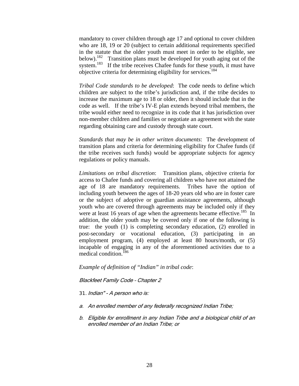mandatory to cover children through age 17 and optional to cover children who are 18, 19 or 20 (subject to certain additional requirements specified in the statute that the older youth must meet in order to be eligible, see below).<sup>182</sup> Transition plans must be developed for youth aging out of the system.<sup>183</sup> If the tribe receives Chafee funds for these youth, it must have objective criteria for determining eligibility for services.184

*Tribal Code standards to be developed*: The code needs to define which children are subject to the tribe's jurisdiction and, if the tribe decides to increase the maximum age to 18 or older, then it should include that in the code as well. If the tribe's IV-E plan extends beyond tribal members, the tribe would either need to recognize in its code that it has jurisdiction over non-member children and families or negotiate an agreement with the state regarding obtaining care and custody through state court.

*Standards that may be in other written documents*: The development of transition plans and criteria for determining eligibility for Chafee funds (if the tribe receives such funds) would be appropriate subjects for agency regulations or policy manuals.

*Limitations on tribal discretion*: Transition plans, objective criteria for access to Chafee funds and covering all children who have not attained the age of 18 are mandatory requirements. Tribes have the option of including youth between the ages of 18-20 years old who are in foster care or the subject of adoptive or guardian assistance agreements, although youth who are covered through agreements may be included only if they were at least 16 years of age when the agreements became effective.<sup>185</sup> In addition, the older youth may be covered only if one of the following is true: the youth (1) is completing secondary education, (2) enrolled in post-secondary or vocational education, (3) participating in an employment program, (4) employed at least 80 hours/month, or (5) incapable of engaging in any of the aforementioned activities due to a medical condition.<sup>186</sup>

*Example of definition of "Indian" in tribal code*:

Blackfeet Family Code – Chapter 2

*31.*Indian" - A person who is:

- a. An enrolled member of any federally recognized Indian Tribe;
- b. Eligible for enrollment in any Indian Tribe and a biological child of an enrolled member of an Indian Tribe; or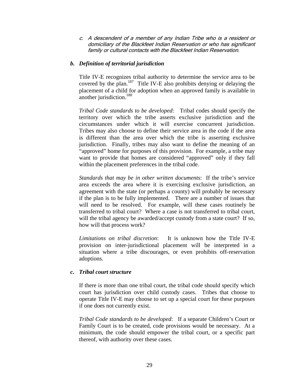c. A descendent of a member of any Indian Tribe who is a resident or domiciliary of the Blackfeet Indian Reservation or who has significant family or cultural contacts with the Blackfeet Indian Reservation.

# *b. Definition of territorial jurisdiction*

Title IV-E recognizes tribal authority to determine the service area to be covered by the plan.<sup>187</sup> Title IV-E also prohibits denying or delaying the placement of a child for adoption when an approved family is available in another jurisdiction.188

*Tribal Code standards to be developed*: Tribal codes should specify the territory over which the tribe asserts exclusive jurisdiction and the circumstances under which it will exercise concurrent jurisdiction. Tribes may also choose to define their service area in the code if the area is different than the area over which the tribe is asserting exclusive jurisdiction. Finally, tribes may also want to define the meaning of an "approved" home for purposes of this provision. For example, a tribe may want to provide that homes are considered "approved" only if they fall within the placement preferences in the tribal code.

*Standards that may be in other written documents*: If the tribe's service area exceeds the area where it is exercising exclusive jurisdiction, an agreement with the state (or perhaps a county) will probably be necessary if the plan is to be fully implemented. There are a number of issues that will need to be resolved. For example, will these cases routinely be transferred to tribal court? Where a case is not transferred to tribal court, will the tribal agency be awarded/accept custody from a state court? If so, how will that process work?

*Limitations on tribal discretion*: It is unknown how the Title IV-E provision on inter-jurisdictional placement will be interpreted in a situation where a tribe discourages, or even prohibits off-reservation adoptions.

# *c. Tribal court structure*

If there is more than one tribal court, the tribal code should specify which court has jurisdiction over child custody cases. Tribes that choose to operate Title IV-E may choose to set up a special court for these purposes if one does not currently exist.

*Tribal Code standards to be developed*: If a separate Children's Court or Family Court is to be created, code provisions would be necessary. At a minimum, the code should empower the tribal court, or a specific part thereof, with authority over these cases.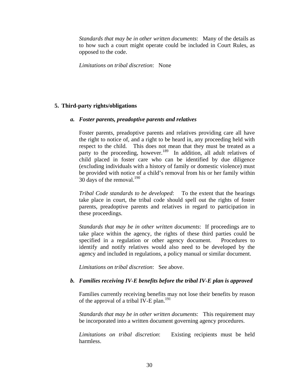*Standards that may be in other written documents*:Many of the details as to how such a court might operate could be included in Court Rules, as opposed to the code.

*Limitations on tribal discretion*: None

## **5. Third-party rights/obligations**

#### *a. Foster parents, preadoptive parents and relatives*

Foster parents, preadoptive parents and relatives providing care all have the right to notice of, and a right to be heard in, any proceeding held with respect to the child. This does not mean that they must be treated as a party to the proceeding, however.<sup>189</sup> In addition, all adult relatives of child placed in foster care who can be identified by due diligence (excluding individuals with a history of family or domestic violence) must be provided with notice of a child's removal from his or her family within 30 days of the removal. $190$ 

*Tribal Code standards to be developed*: To the extent that the hearings take place in court, the tribal code should spell out the rights of foster parents, preadoptive parents and relatives in regard to participation in these proceedings.

*Standards that may be in other written documents*: If proceedings are to take place within the agency, the rights of these third parties could be specified in a regulation or other agency document. Procedures to identify and notify relatives would also need to be developed by the agency and included in regulations, a policy manual or similar document.

*Limitations on tribal discretion*: See above.

#### *b. Families receiving IV-E benefits before the tribal IV-E plan is approved*

Families currently receiving benefits may not lose their benefits by reason of the approval of a tribal IV-E plan.<sup>191</sup>

*Standards that may be in other written documents*:This requirement may be incorporated into a written document governing agency procedures.

*Limitations on tribal discretion*: Existing recipients must be held harmless.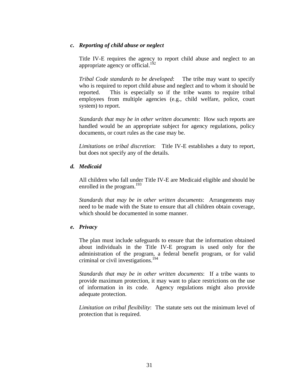# *c. Reporting of child abuse or neglect*

Title IV-E requires the agency to report child abuse and neglect to an appropriate agency or official.<sup>192</sup>

*Tribal Code standards to be developed*: The tribe may want to specify who is required to report child abuse and neglect and to whom it should be reported. This is especially so if the tribe wants to require tribal employees from multiple agencies (e.g., child welfare, police, court system) to report.

*Standards that may be in other written documents*:How such reports are handled would be an appropriate subject for agency regulations, policy documents, or court rules as the case may be.

*Limitations on tribal discretion*: Title IV-E establishes a duty to report, but does not specify any of the details.

## *d. Medicaid*

All children who fall under Title IV-E are Medicaid eligible and should be enrolled in the program.<sup>193</sup>

*Standards that may be in other written documents*:Arrangements may need to be made with the State to ensure that all children obtain coverage, which should be documented in some manner.

#### *e. Privacy*

The plan must include safeguards to ensure that the information obtained about individuals in the Title IV-E program is used only for the administration of the program, a federal benefit program, or for valid criminal or civil investigations.194

*Standards that may be in other written documents*: If a tribe wants to provide maximum protection, it may want to place restrictions on the use of information in its code. Agency regulations might also provide adequate protection.

*Limitation on tribal flexibility*: The statute sets out the minimum level of protection that is required.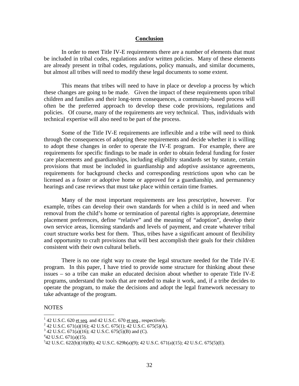#### **Conclusion**

 In order to meet Title IV-E requirements there are a number of elements that must be included in tribal codes, regulations and/or written policies. Many of these elements are already present in tribal codes, regulations, policy manuals, and similar documents, but almost all tribes will need to modify these legal documents to some extent.

 This means that tribes will need to have in place or develop a process by which these changes are going to be made. Given the impact of these requirements upon tribal children and families and their long-term consequences, a community-based process will often be the preferred approach to develop these code provisions, regulations and policies. Of course, many of the requirements are very technical. Thus, individuals with technical expertise will also need to be part of the process.

Some of the Title IV-E requirements are inflexible and a tribe will need to think through the consequences of adopting these requirements and decide whether it is willing to adopt these changes in order to operate the IV-E program. For example, there are requirements for specific findings to be made in order to obtain federal funding for foster care placements and guardianships, including eligibility standards set by statute, certain provisions that must be included in guardianship and adoptive assistance agreements, requirements for background checks and corresponding restrictions upon who can be licensed as a foster or adoptive home or approved for a guardianship, and permanency hearings and case reviews that must take place within certain time frames.

Many of the most important requirements are less prescriptive, however. For example, tribes can develop their own standards for when a child is in need and when removal from the child's home or termination of parental rights is appropriate, determine placement preferences, define "relative" and the meaning of "adoption", develop their own service areas, licensing standards and levels of payment, and create whatever tribal court structure works best for them. Thus, tribes have a significant amount of flexibility and opportunity to craft provisions that will best accomplish their goals for their children consistent with their own cultural beliefs.

 There is no one right way to create the legal structure needed for the Title IV-E program. In this paper, I have tried to provide some structure for thinking about these issues – so a tribe can make an educated decision about whether to operate Title IV-E programs, understand the tools that are needed to make it work, and, if a tribe decides to operate the program, to make the decisions and adopt the legal framework necessary to take advantage of the program.

#### NOTES

 $\overline{a}$ 

 $1$  42 U.S.C. 620 et seq. and 42 U.S.C. 670 et seq., respectively. <sup>1</sup> 42 U.S.C. 620 <u>et seq</u>. and 42 U.S.C. 670 <u>et seq</u>., respectively.<br><sup>2</sup> 42 U.S.C. 671(o)(16): 42 U.S.C. 675(1): 42 U.S.C. 675(5)(A)

<sup>&</sup>lt;sup>2</sup> 42 U.S.C. 671(a)(16); 42 U.S.C. 675(1); 42 U.S.C. 675(5)(A).<br><sup>3</sup> 42 U.S.C. 671(a)(16); 42 U.S.C. 675(5)(B) and (C)

 $3$  42 U.S.C. 671(a)(16); 42 U.S.C. 675(5)(B) and (C).

 $42$  U.S.C. 671(a)(15).

<sup>5</sup> 42 U.S.C. 622(b)(10)(B); 42 U.S.C. 629b(a)(9); 42 U.S.C. 671(a)(15); 42 U.S.C. 675(5)(E).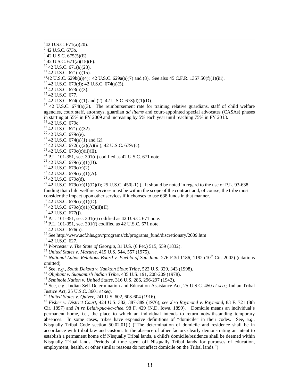- $7$  42 U.S.C. 673b.
- $842$  U.S.C.  $675(5)$ (E).
- $9^9$  42 U.S.C. 671(a)(15)(F).
- <sup>10</sup> 42 U.S.C. 671(a)(23).
- $11$  42 U.S.C. 671(a)(15).
- <sup>12</sup>42 U.S.C. 629b(a)(4); 42 U.S.C. 629a(a)(7) and (8). See also 45 C.F.R. 1357.50(f)(1)(iii). <sup>13</sup> 42 U.S.C. 673(d); 42 U.S.C. 674(a)(5).
- 
- $14$  42 U.S.C. 673(a)(3).
- <sup>15</sup> 42 U.S.C. 677.
- <sup>16</sup> 42 U.S.C. 674(a)(1) and (2); 42 U.S.C. 673(d)(1)(D).

<sup>17</sup> 42 U.S.C.  $674(a)(3)$ . The reimbursement rate for training relative guardians, staff of child welfare agencies, court staff, attorneys, guardian *ad litems* and court-appointed special advocates (CASAs) phases in starting at 55% in FY 2009 and increasing by 5% each year until reaching 75% in FY 2013. 18 42 U.S.C. 679c.

- 
- 19 42 U.S.C. 671(a)(32).
- 20 42 U.S.C. 679c(e).
- <sup>21</sup> 42 U.S.C. 674(a)(1) and (2).
- <sup>22</sup> 42 U.S.C. 672(a)(2)(A)(iii); 42 U.S.C. 679c(c).<br><sup>23</sup> 42 U.S.C. 679c(c)(ii)(II).
- 
- <sup>24</sup> P.L. 101-351, sec. 301(d) codified as 42 U.S.C. 671 note.
- $25$  42 U.S.C. 679c(c)(1)(B).
- $26$  42 U.S.C. 679c(c)(2).
- <sup>27</sup> 42 U.S.C. 679c(c)(1)(A).
- 28 42 U.S.C. 679c(d).

<sup>29</sup> 42 U.S.C. 679c(c)(1)(D)(i); 25 U.S.C. 450j-1(j). It should be noted in regard to the use of P.L. 93-638 funding that child welfare services must be within the scope of the contract and, of course, the tribe must consider the impact upon other services if it chooses to use 638 funds in that manner. <sup>30</sup> 42 U.S.C. 679c(c)(1)(D).

- $31$  42 U.S.C. 679c(c)(1)(C)(ii)(II).
- $32$  42 U.S.C. 677(j).
- $^{33}$  P.L. 101-351, sec. 301(e) codified as 42 U.S.C. 671 note.
- $34$  P.L. 101-351, sec. 301(f) codified as 42 U.S.C. 671 note.
- $35$  42 U.S.C. 676(a).
- <sup>36</sup> See http://www.acf.hhs.gov/programs/cb/programs\_fund/discretionary/2009.htm  $^{37}$  42 U.S.C. 627.
- 
- <sup>38</sup> *Worcester v. The State of Georgia*, 31 U.S. (6 Pet.) 515, 559 (1832).
- 

<sup>40</sup> *National Labor Relations Board v. Pueblo of San Juan*, 276 F.3d 1186, 1192 (10<sup>th</sup> Cir. 2002) (citations omitted).<br><sup>41</sup> See, *e.g., South Dakota v. Yankton Sioux Tribe*, 522 U.S. 329, 343 (1998).

- 
- 

42 Oliphant v. Suquamish Indian Tribe, 435 U.S. 191, 208-209 (1978).<br>
43 Seminole Nation v. United States, 316 U.S. 286, 296-297 (1942).<br>
44 See, e.g., Indian Self-Determination and Education Assistance Act, 25 U.S.C. 450

Justice Act, 25 U.S.C. 3601 *et seq*. 45 *United States v. Quiver*, 241 U.S. 602, 603-604 (1916). 46 *Fisher v. District Court*, 424 U.S. 382, 387-389 (1976); see also *Raymond v. Raymond*, 83 F. 721 (8th Cir. 1897) and *In re Lelah-puc-ka-chee*, 98 F. 429 (N.D. Iowa, 1899). Domicile means an individual's permanent home, i.e., the place to which an individual intends to return notwithstanding temporary absences. In some cases, tribes have expansive definitions of "domicile" in their codes. See, *e.g.*, Nisqually Tribal Code section 50.02.01(i) ("The determination of domicile and residence shall be in accordance with tribal law and custom. In the absence of other factors clearly demonstrating an intent to establish a permanent home off Nisqually Tribal lands, a child's domicile/residence shall be deemed within Nisqually Tribal lands. Periods of time spent off Nisqually Tribal lands for purposes of education, employment, health, or other similar reasons do not affect domicile on the Tribal lands.")

 <sup>6</sup> 42 U.S.C. 671(a)(20).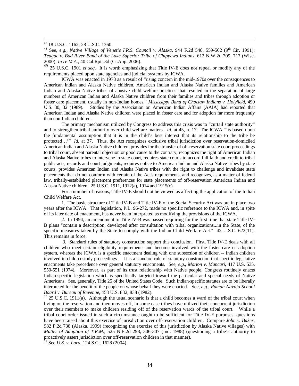47 18 U.S.C. 1162; 28 U.S.C. 1360.

48 See, *e.g.*, *Native Village of Venetie I.R.S. Council v. Alaska*, 944 F.2d 548, 559-562 (9<sup>th</sup> Cir. 1991); *Teague v. Bad River Band of the Lake Superior Tribe of Chippewa Indians*, 612 N.W.2d 709, 717 (Wisc. 2000); *In re M.A.*, 40 Cal.Rptr.3d (Ct.App. 2006).

<sup>49</sup> 25 U.S.C. 1901 *et seq*. It is worth emphasizing that Title IV-E does not repeal or modify any of the requirements placed upon state agencies and judicial systems by ICWA.

ICWA was enacted in 1978 as a result of "rising concern in the mid-1970s over the consequences to American Indian and Alaska Native children, American Indian and Alaska Native families and American Indian and Alaska Native tribes of abusive child welfare practices that resulted in the separation of large numbers of American Indian and Alaska Native children from their families and tribes through adoption or foster care placement, usually in non-Indian homes." *Mississippi Band of Choctaw Indians v. Holyfield*, 490 U.S. 30, 32 (1989). Studies by the Association on American Indian Affairs (AAIA) had reported that American Indian and Alaska Native children were placed in foster care and for adoption far more frequently than non-Indian children.

The primary mechanism utilized by Congress to address this crisis was to "curtail state authority" and to strengthen tribal authority over child welfare matters. *Id*. at 45, n. 17. The ICWA "'is based upon the fundamental assumption that it is in the child's best interest that its relationship to the tribe be protected…" *Id.* at 37. Thus, the Act recognizes exclusive tribal jurisdiction over reservation-domiciled American Indian and Alaska Native children, provides for the transfer of off-reservation state court proceedings to tribal court, absent parental objection or good cause to the contrary, recognizes the right of American Indian and Alaska Native tribes to intervene in state court, requires state courts to accord full faith and credit to tribal public acts, records and court judgments, requires notice to American Indian and Alaska Native tribes by state courts, provides American Indian and Alaska Native tribes with the right to challenge and invalidate state placements that do not conform with certain of the Act's requirements, and recognizes, as a matter of federal law, tribally-established placement preferences for state placements of off-reservation American Indian and Alaska Native children. 25 U.S.C. 1911, 1912(a), 1914 and 1915(c).

For a number of reasons, Title IV-E should not be viewed as affecting the application of the Indian Child Welfare Act.

1. The basic structure of Title IV-B and Title IV-E of the Social Security Act was put in place two years after the ICWA. That legislation, P.L. 96-272, made no specific reference to the ICWA and, in spite of its later date of enactment, has never been interpreted as modifying the provisions of the ICWA.

2. In 1994, an amendment to Title IV-B was passed requiring for the first time that state Title IV-B plans "contain a description, developed after consultation with tribal organizations...in the State, of the specific measures taken by the State to comply with the Indian Child Welfare Act." 42 U.S.C. 622(11). This remains in force.

 3. Standard rules of statutory construction support this conclusion. First, Title IV-E deals with all children who meet certain eligibility requirements and become involved with the foster care or adoption system, whereas the ICWA is a specific enactment dealing with one subsection of children -- Indian children involved in child custody proceedings. It is a standard rule of statutory construction that specific legislative enactments take precedence over general statutory enactments. See, *e.g.*, *Morton v. Mancari*, 417 U.S. 535, 550-551 (1974). Moreover, as part of its trust relationship with Native people, Congress routinely enacts Indian-specific legislation which is specifically targeted toward the particular and special needs of Native Americans. See, generally, Title 25 of the United States Code. Such Indian-specific statutes are to be liberally interpreted for the benefit of the people on whose behalf they were enacted. See, *e.g.*, *Ramah Navajo School Board v. Bureau of Revenue*, 458 U.S. 832, 838 (1982).<br><sup>50</sup> 25 U.S.C. 1911(a). Although the usual scenario is that a child becomes a ward of the tribal court when

living on the reservation and then moves off, in some case tribes have utilized their concurrent jurisdiction over their members to make children residing off of the reservation wards of the tribal court. While a tribal court order issued in such a circumstance ought to be sufficient for Title IV-E purposes, questions have been raised about this exercise of jurisdiction over off-reservation children. Compare *John v. Baker*, 982 P.2d 738 (Alaska, 1999) (recognizing the exercise of this jurisdiction by Alaska Native villages) with *Matter of Adoption of T.R.M.*, 525 N.E.2d 298, 306-307 (Ind. 1988) (questioning a tribe's authority to proactively assert jurisdiction over off-reservation children in that manner).

51 See *U.S. v. Lara*, 124 S.Ct. 1628 (2004).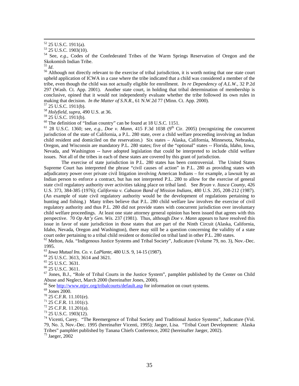54 See, *e.g.*, Codes of the Confederated Tribes of the Warm Springs Reservation of Oregon and the Skokomish Indian Tribe.<br> $^{55}$  *Id*.

<sup>56</sup> Although not directly relevant to the exercise of tribal jurisdiction, it is worth noting that one state court upheld application of ICWA in a case where the tribe indicated that a child was considered a member of the tribe, even though the child was not actually eligible for enrollment. *In re Dependency of A.L.W.*, 32 P.2d 297 (Wash. Ct. App. 2001). Another state court, in holding that tribal determination of membership is conclusive, opined that it would not independently evaluate whether the tribe followed its own rules in making that decision. *In the Matter of S.N.R.*, 61 N.W.2d 77 (Minn. Ct. App. 2000). <sup>57</sup> 25 U.S.C. 1911(b).

<sup>58</sup> *Holyfield, supra*, 490 U.S. at 36.

 $59$  25 U.S.C. 1911(b).

 $60$  The definition of "Indian country" can be found at 18 U.S.C. 1151.

<sup>61</sup> 28 U.S.C. 1360; see, *e.g.*, *Doe v. Mann*, 415 F.3d 1038 (9<sup>th</sup> Cir. 2005) (recognizing the concurrent jurisdiction of the state of California, a P.L. 280 state, over a child welfare proceeding involving an Indian child resident and domiciled on the reservation.) Six states – Alaska, California, Minnesota, Nebraska, Oregon, and Wisconsin are mandatory P.L. 280 states; five of the "optional" states -- Florida, Idaho, Iowa, Nevada, and Washington -- have adopted legislation that could be interpreted to include child welfare issues. Not all of the tribes in each of these states are covered by this grant of jurisdiction.

The exercise of state jurisdiction in P.L. 280 states has been controversial. The United States Supreme Court has interpreted the phrase "civil causes of action" in P.L. 280 as providing states with adjudicatory power over private civil litigation involving American Indians – for example, a lawsuit by an Indian person to enforce a contract, but has not interpreted P.L. 280 to allow for the exercise of general state civil regulatory authority over activities taking place on tribal land. See *Bryan v. Itasca County*, 426 U.S. 373, 384-385 (1976); *California v. Cabazon Band of Mission Indians*, 480 U.S. 205, 208-212 (1987). (An example of state civil regulatory authority would be the development of regulations pertaining to hunting and fishing.) Many tribes believe that P.L. 280 child welfare law involves the exercise of civil regulatory authority and thus P.L. 280 did not provide states with concurrent jurisdiction over involuntary child welfare proceedings. At least one state attorney general opinion has been issued that agrees with this perspective. 70 *Op Att'y Gen. Wis.* 237 (1981). Thus, although *Doe v. Mann* appears to have resolved this issue in favor of state jurisdiction in those states that are part of the Ninth Circuit (Alaska, California, Idaho, Nevada, Oregon and Washington), there may still be a question concerning the validity of a state court order pertaining to a tribal child resident or domiciled on tribal land in other P.L. 280 states.

<sup>62</sup> Melton, Ada. "Indigenous Justice Systems and Tribal Society", Judicature (Volume 79, no. 3), Nov.-Dec. 1995.

<sup>63</sup> *Iowa Mutual Ins. Co. v. LaPlante*, 480 U.S. 9, 14-15 (1987). 64 25 U.S.C. 3613, 3614 and 3621.

<sup>65</sup> 25 U.S.C. 3631.

<sup>66</sup> 25 U.S.C. 3611.

 $67$  Jones, B.J., "Role of Tribal Courts in the Justice System", pamphlet published by the Center on Child Abuse and Neglect, March 2000 (hereinafter Jones, 2000).

<sup>68</sup> See  $\frac{\text{http://www.ntirc.org/tribal courts/default.asp}}{\text{Jones 2000}}$  Iones 2000.

72 25 C.F.R. 11.201(a).

<sup>74</sup> Vicenti, Carey. "The Reemergence of Tribal Society and Traditional Justice Systems", Judicature (Vol. 79, No. 3, Nov.-Dec. 1995 (hereinafter Vicenti, 1995); Jaeger, Lisa. "Tribal Court Development: Alaska Tribes" pamphlet published by Tanana Chiefs Conference, 2002 (hereinafter Jaeger, 2002). 75 Jaeger, 2002

 <sup>52 25</sup> U.S.C. 1911(a).

 $53\overline{25}$  U.S.C. 1903(10).

 $70$  25 C.F.R. 11.101(e).

 $71$  25 C.F.R. 11.101(c).

<sup>73 25</sup> U.S.C. 1903(12).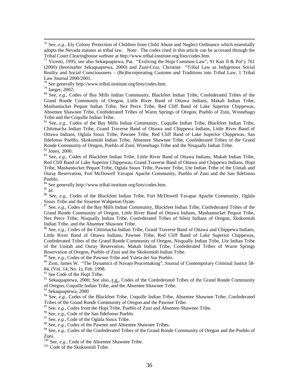76 See, *e.g.*, Ely Colony Protection of Children from Child Abuse and Neglect Ordinance which essentially adopts the Nevada statutes as tribal law. Note: The codes cited in this article can be accessed through the Tribal Court Clearinghouse website at http://www.tribal-institute.org/lists/codes.htm. 77 Vicenti, 1995; see also Sekaquaptewa, Pat. "Evolving the Hopi Common Law", 91 Kan Jl & Pol'y 761

<sup>78</sup> See generally http://www.tribal-institute.org/lists/codes.htm.

79 Jaeger, 2002.

80 See, *e.g.*, Codes of Bay Mills Indian Community, Blackfeet Indian Tribe, Confederated Tribes of the Grand Ronde Community of Oregon, Little River Band of Ottawa Indians, Makah Indian Tribe, Mashantucket Pequot Indian Tribe, Nez Perce Tribe, Red Cliff Band of Lake Superior Chippewas, Absentee Shawnee Tribe, Confederated Tribes of Warm Springs of Oregon, Pueblo of Zuni, Winnebago Tribe and the Coquille Indian Tribe.

<sup>81</sup> See, *e.g.*, Codes of the Bay Mills Indian Community, Coquille Indian Tribe, Blackfeet Indian Tribe, Chitimacha Indian Tribe, Grand Traverse Band of Ottawa and Chippewa Indians, Little River Band of Ottawa Indians, Oglala Sioux Tribe, Pawnee Tribe, Red Cliff Band of Lake Superior Chippewas, San Ildefonso Pueblo, Skokomish Indian Tribe, Absentee Shawnee Tribe, Confederated Tribes of the Grand Ronde Community of Oregon, Pueblo of Zuni, Winnebago Tribe and the Nisqually Indian Tribe. 82 Jones, 2000.

83 See, *e.g.*, Codes of Blackfeet Indian Tribe, Little River Band of Ottawa Indians, Makah Indian Tribe, Red Cliff Band of Lake Superior Chippewas, Grand Traverse Band of Ottawa and Chippewa Indians, Hopi Tribe, Mashantucket Pequot Tribe, Oglala Sioux Tribe, Pawnee Tribe, Ute Indian Tribe of the Uintah and Ouray Reservation, Fort McDowell Yavapai Apache Community, Pueblo of Zuni and the San Ildefonso Pueblo.

<sup>84</sup> See generally http://www.tribal-institute.org/lists/codes.htm.<br><sup>85</sup>  $I_d$ 

<sup>86</sup> See, *e.g.*, Codes of the Blackfeet Indian Tribe, Fort McDowell Yavapai Apache Community, Oglala Sioux Tribe and the Sisseton Wahpeton Oyate.

87 See, *e.g.*, Codes of the Bay Mills Indian Community, Blackfeet Indian Tribe, Confederated Tribes of the Grand Ronde Community of Oregon, Little River Band of Ottawa Indians, Mashantucket Pequot Tribe, Nez Perce Tribe, Nisqually Indian Tribe, Confederated Tribes of Siletz Indians of Oregon, Skokomish Indian Tribe, and the Absentee Shawnee Tribe.<br><sup>88</sup> See, *e.g.*, Codes of the Chitimacha Indian Tribe, Grand Traverse Band of Ottawa and Chippewa Indians,

Little River Band of Ottawa Indians, Pawnee Tribe, Red Cliff Band of Lake Superior Chippewas, Confederated Tribes of the Grand Ronde Community of Oregon, Nisqually Indian Tribe, Ute Indian Tribe of the Unitah and Ouray Reservation, Makah Indian Tribe, Confederated Tribes of Warm Springs Reservation of Oregon, Pueblo of Zuni and the Skokomish Indian Tribe.

89 See, *e.g.*, Codes of the Pawnee Tribe and Ysleta del Sur Pueblo.

 $90$  Zion, James W. "The Dynamics of Navajo Peacemaking", Journal of Contemporary Criminal Justice 58-84, (Vol. 14, No. 1), Feb. 1998.

 $91$  See Code of the Hopi Tribe.

 $92$  Sekaquaptewa, 2000; See also, e.g., Codes of the Confederated Tribes of the Grand Ronde Community of Oregon, Coquille Indian Tribe, and the Absentee Shawnee Tribe.

<sup>93</sup> Sekaquaptewa, 2000

<sup>94</sup> See, *e.g.*, Codes of the Blackfeet Tribe, Coquille Indian Tribe, Absentee Shawnee Tribe, Confederated Tribes of the Grand Ronde Community of Oregon and the Pawnee Tribe.

<sup>95</sup> See, *e.g.*, Codes from the Hopi Tribe, Pueblo of Zuni and Absentee Shawnee Tribe.<br><sup>96</sup> See, *e.g.*, Code of the San Ildefonso Pueblo.<br><sup>97</sup> See, *e.g.*, Code of the Oglala Sioux Tribe.<br><sup>98</sup> See, *e.g.*, Codes of the P

<sup>99</sup> See, *e.g.*, Codes of the Confederated Tribes of the Grand Ronde Community of Oregon and the Pueblo of Zuni.

<sup>100</sup> See, *e.g.*, Code of the Absentee Shawnee Tribe.<br><sup>101</sup> Code of the Skokomish Tribe.

<sup>(2000) (</sup>hereinafter Sekaquaptewa, 2000) and Zuni-Cruz, Christine "Tribal Law as Indigenous Social Reality and Social Consciousness – (Re)Incorporating Customs and Traditions into Tribal Law, 1 Tribal Law Journal 2000/2001.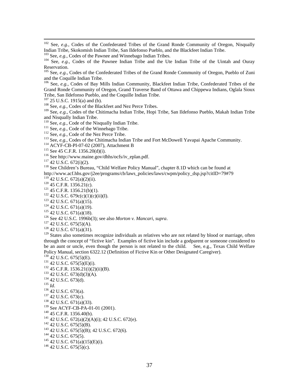<sup>102</sup> See,  $e.g.,$  Codes of the Confederated Tribes of the Grand Ronde Community of Oregon, Nisqually Indian Tribe, Skokomish Indian Tribe, San Ildefonso Pueblo, and the Blackfeet Indian Tribe.

<sup>103</sup> See, *e.g.*, Codes of the Pawnee and Winnebago Indian Tribes.<br><sup>104</sup> See, *e.g.*, Codes of the Pawnee Indian Tribe and the Ute Indian Tribe of the Uintah and Ouray Reservation.

105 See, *e.g.*, Codes of the Confederated Tribes of the Grand Ronde Community of Oregon, Pueblo of Zuni and the Coquille Indian Tribe.

106 See, *e.g.*, Codes of Bay Mills Indian Community, Blackfeet Indian Tribe, Confederated Tribes of the Grand Ronde Community of Oregon, Grand Traverse Band of Ottawa and Chippewa Indians, Oglala Sioux Tribe, San Ildefonso Pueblo, and the Coquille Indian Tribe.

<sup>108</sup> See, *e.g.*, Codes of the Blackfeet and Nez Perce Tribes.

109 See, *e.g.*, Codes of the Chitimacha Indian Tribe, Hopi Tribe, San Ildefonso Pueblo, Makah Indian Tribe and Nisqually Indian Tribe.<br><sup>110</sup> See, *e.g.*, Code of the Nisqually Indian Tribe.

<sup>111</sup> See, *e.g.*, Code of the Winnebago Tribe.<br><sup>112</sup> See, *e.g.*, Code of the Nez Perce Tribe.<br><sup>113</sup> See, *e.g.*, Code of the Nez Perce Tribe.<br><sup>113</sup> See, *e.g.*, Codes of the Chitimacha Indian Tribe and Fort McDowell Yav

http://www.acf.hhs.gov/j2ee/programs/cb/laws\_policies/laws/cwpm/policy\_dsp.jsp?citID=79#79<br><sup>119</sup> 42 U.S.C. 672(a)(2)(ii).

<sup>120</sup> 45 C.F.R. 1356.21(c).<br>
<sup>121</sup> 45 C.F.R. 1356.21(b)(1).<br>
<sup>122</sup> 42 U.S.C. 679c(c)(1)(c)(ii)(I).<br>
<sup>123</sup> 42 U.S.C. 671(a)(15).<br>
<sup>124</sup> 42 U.S.C. 671(a)(19).<br>
<sup>125</sup> 42 U.S.C. 671(a)(18).<br>
<sup>126</sup> See 42 U.S.C. 1996b(3); see

<sup>129</sup> States also sometimes recognize individuals as relatives who are not related by blood or marriage, often through the concept of "fictive kin". Examples of fictive kin include a godparent or someone considered to be an aunt or uncle, even though the person is not related to the child. See, e.g., Texas Child Welfare Policy Manual, section 6322.12 (Definition of Fictive Kin or Other Designated Caregiver).

Policy Manual, section 6322.12 (Definition of Fictive Kin or Other Designated Caregiver).<br><sup>130</sup> 42 U.S.C. 675(5)(E).<br><sup>131</sup> 42 U.S.C. 675(5)(E)(i).<br><sup>132</sup> 45 C.F.R. 1536.21(i)(2)(ii)(B).<br><sup>133</sup> 42 U.S.C. 673(d)(3)(A).<br><sup>134</sup> 4 <sup>139</sup> See ACYF-CB-PA-01-01 (2001).<br><sup>140</sup> 45 C.F.R. 1356.40(b).<br><sup>141</sup> 42 U.S.C. 672(a)(2)(A)(i); 42 U.S.C. 672(e).<br><sup>142</sup> 42 U.S.C. 675(5)(B).<br><sup>143</sup> 42 U.S.C. 675(5)(B); 42 U.S.C. 672(6).<br><sup>143</sup> 42 U.S.C. 675(5).<br><sup>144</sup> 42 U.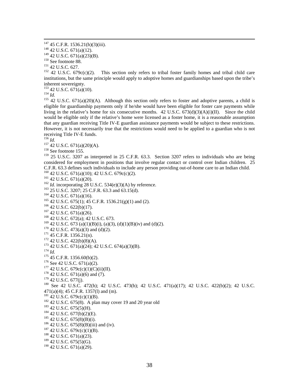<sup>150</sup> See footnote 88.<br><sup>151</sup> 42 U.S.C. 627.<br><sup>152</sup> 42 U.S.C. 679c(c)(2). This section only refers to tribal foster family homes and tribal child care institutions, but the same principle would apply to adoptive homes and guardianships based upon the tribe's inherent sovereignty.<br> $^{153}$  42 U.S.C. 671(a)(10).

<sup>154</sup> *Id.* 155 42 U.S.C. 671(a)(20)(A). Although this section only refers to foster and adoptive parents, a child is eligible for guardianship payments only if he/she would have been eligible for foster care payments while living in the relative's home for six consecutive months.  $42 \text{ U.S.C. } 673\text{ (d)}(3)(\text{A})(i)(\text{II})$ . Since the child would be eligible only if the relative's home were licensed as a foster home, it is a reasonable assumption that any guardian receiving Title IV-E guardian assistance payments would be subject to these restrictions. However, it is not necessarily true that the restrictions would need to be applied to a guardian who is not receiving Title IV-E funds.<br> $^{156}$  *Id.* 

<sup>157</sup> 42 U.S.C. 671(a)(20)(A).<br><sup>158</sup> See footnote 155.

<sup>159</sup> 25 U.S.C. 3207 as interpreted in 25 C.F.R. 63.3. Section 3207 refers to individuals who are being considered for employment in positions that involve regular contact or control over Indian children. 25 C.F.R. 63.3 defines such individuals to include any person providing out-of-home care to an Indian child.<br><sup>160</sup> 42 U.S.C. 671(a)(10); 42 U.S.C. 679c(c)(2).

<sup>161</sup> 42 U.S.C. 671(a)(20).<br>
<sup>162</sup> *Id.* incorporating 28 U.S.C. 534(e)(3)(A) by reference.<br>
<sup>163</sup> 25 U.S.C. 3207; 25 C.F.R. 63.3 and 63.15(d).<br>
<sup>164</sup> 42 U.S.C. 675(1); 45 C.F.R. 1536.21(g)(1) and (2).<br>
<sup>164</sup> 42 U.S.C. 62

<sup>169</sup> 42 U.S.C. 673 (a)(1)(B)(i), (a)(3), (d)(1)(B)(iv) and (d)(2).<br><sup>170</sup> 42 U.S.C. 473(a)(3) and (d)(2).<br><sup>171</sup> 45 C.F.R. 1356.21(n).<br><sup>172</sup> 42 U.S.C. 422(b)(8)(A).<br><sup>173</sup> 42 U.S.C. 671(a)(24); 42 U.S.C. 674(a)(3)(B).<br><sup>174</sup>

<sup>178</sup> 42 U.S.C. 671(a)(6) and (7).<br><sup>179</sup> 42 U.S.C. 677(j).<br><sup>180</sup> See 42 U.S.C. 472(h); 42 U.S.C. 473(b); 42 U.S.C. 471(a)(17); 42 U.S.C. 422(b)(2); 42 U.S.C.

471(a)(4); 45 C.F.R. 1357(1) and (m).<br><sup>181</sup> 42 U.S.C. 679c(c)(1)(B).

<sup>182</sup> 42 U.S.C. 675(8). A plan may cover 19 and 20 year old<br><sup>183</sup> 42 U.S.C. 675(5)(H).<br><sup>184</sup> 42 U.S.C. 677(b)(2)(E).<br><sup>185</sup> 42 U.S.C. 675(8)(B)(i).<br><sup>186</sup> 42 U.S.C. 675(8)(B)(iii) and (iv).<br><sup>186</sup> 42 U.S.C. 675(8)(B)(iii) an

<sup>189</sup> 42 U.S.C. 675(5)(G).

<sup>190</sup> 42 U.S.C. 671(a)(29).

<sup>&</sup>lt;sup>147</sup> 45 C.F.R. 1536.21(h)(3)(iii).<br><sup>148</sup> 42 U.S.C. 671(a)(12).<br><sup>149</sup> 42 U.S.C. 671(a)(23)(B).